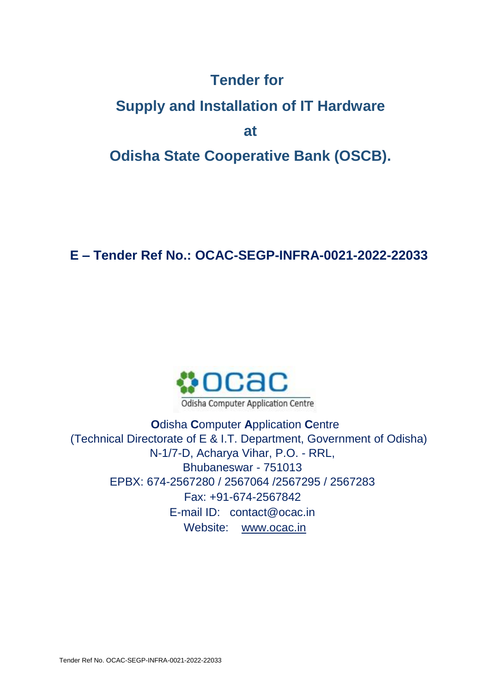## **Tender for**

# **Supply and Installation of IT Hardware at Odisha State Cooperative Bank (OSCB).**

**E – Tender Ref No.: OCAC-SEGP-INFRA-0021-2022-22033**



**O**disha **C**omputer **A**pplication **C**entre (Technical Directorate of E & I.T. Department, Government of Odisha) N-1/7-D, Acharya Vihar, P.O. - RRL, Bhubaneswar - 751013 EPBX: 674-2567280 / 2567064 /2567295 / 2567283 Fax: +91-674-2567842 E-mail ID: contact@ocac.in Website: [www.ocac.in](http://www.ocac.in/)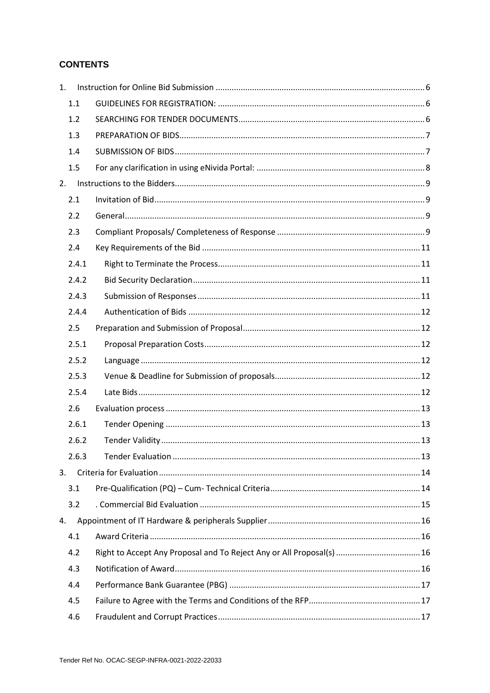#### **CONTENTS**

| 1. |       |                                                                       |  |
|----|-------|-----------------------------------------------------------------------|--|
|    | 1.1   |                                                                       |  |
|    | 1.2   |                                                                       |  |
|    | 1.3   |                                                                       |  |
|    | 1.4   |                                                                       |  |
|    | 1.5   |                                                                       |  |
| 2. |       |                                                                       |  |
|    | 2.1   |                                                                       |  |
|    | 2.2   |                                                                       |  |
|    | 2.3   |                                                                       |  |
|    | 2.4   |                                                                       |  |
|    | 2.4.1 |                                                                       |  |
|    | 2.4.2 |                                                                       |  |
|    | 2.4.3 |                                                                       |  |
|    | 2.4.4 |                                                                       |  |
|    | 2.5   |                                                                       |  |
|    | 2.5.1 |                                                                       |  |
|    | 2.5.2 |                                                                       |  |
|    | 2.5.3 |                                                                       |  |
|    | 2.5.4 |                                                                       |  |
|    | 2.6   |                                                                       |  |
|    | 2.6.1 |                                                                       |  |
|    | 2.6.2 |                                                                       |  |
|    | 2.6.3 |                                                                       |  |
| 3. |       |                                                                       |  |
|    | 3.1   |                                                                       |  |
|    | 3.2   |                                                                       |  |
| 4. |       |                                                                       |  |
|    | 4.1   |                                                                       |  |
|    | 4.2   | Right to Accept Any Proposal and To Reject Any or All Proposal(s)  16 |  |
|    | 4.3   |                                                                       |  |
|    | 4.4   |                                                                       |  |
|    | 4.5   |                                                                       |  |
|    | 4.6   |                                                                       |  |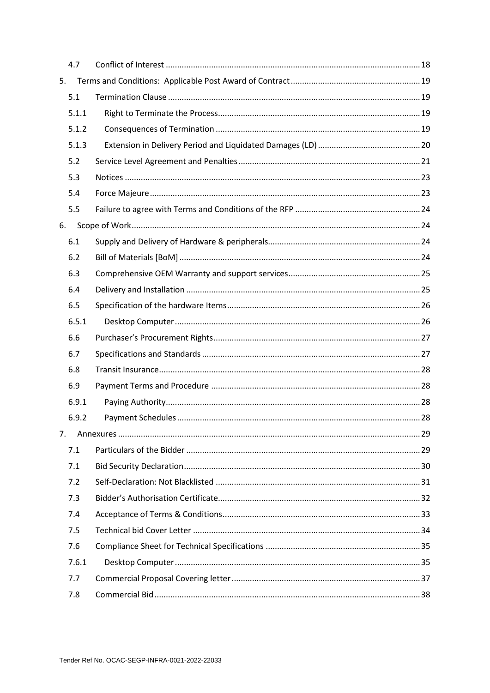| 4.7   |  |
|-------|--|
| 5.    |  |
| 5.1   |  |
| 5.1.1 |  |
| 5.1.2 |  |
| 5.1.3 |  |
| 5.2   |  |
| 5.3   |  |
| 5.4   |  |
| 5.5   |  |
| 6.    |  |
| 6.1   |  |
| 6.2   |  |
| 6.3   |  |
| 6.4   |  |
| 6.5   |  |
| 6.5.1 |  |
| 6.6   |  |
| 6.7   |  |
| 6.8   |  |
| 6.9   |  |
| 6.9.1 |  |
| 6.9.2 |  |
| 7.    |  |
| 7.1   |  |
| 7.1   |  |
| 7.2   |  |
| 7.3   |  |
| 7.4   |  |
| 7.5   |  |
| 7.6   |  |
| 7.6.1 |  |
| 7.7   |  |
| 7.8   |  |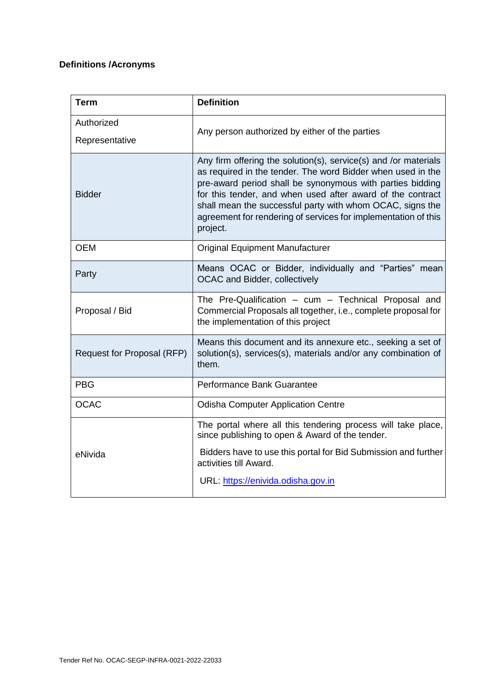## **Definitions /Acronyms**

| <b>Term</b>                  | <b>Definition</b>                                                                                                                                                                                                                                                                                                                                                                                    |
|------------------------------|------------------------------------------------------------------------------------------------------------------------------------------------------------------------------------------------------------------------------------------------------------------------------------------------------------------------------------------------------------------------------------------------------|
| Authorized<br>Representative | Any person authorized by either of the parties                                                                                                                                                                                                                                                                                                                                                       |
| <b>Bidder</b>                | Any firm offering the solution(s), service(s) and /or materials<br>as required in the tender. The word Bidder when used in the<br>pre-award period shall be synonymous with parties bidding<br>for this tender, and when used after award of the contract<br>shall mean the successful party with whom OCAC, signs the<br>agreement for rendering of services for implementation of this<br>project. |
| <b>OEM</b>                   | <b>Original Equipment Manufacturer</b>                                                                                                                                                                                                                                                                                                                                                               |
| Party                        | Means OCAC or Bidder, individually and "Parties" mean<br>OCAC and Bidder, collectively                                                                                                                                                                                                                                                                                                               |
| Proposal / Bid               | The Pre-Qualification - cum - Technical Proposal and<br>Commercial Proposals all together, i.e., complete proposal for<br>the implementation of this project                                                                                                                                                                                                                                         |
| Request for Proposal (RFP)   | Means this document and its annexure etc., seeking a set of<br>solution(s), services(s), materials and/or any combination of<br>them.                                                                                                                                                                                                                                                                |
| <b>PBG</b>                   | Performance Bank Guarantee                                                                                                                                                                                                                                                                                                                                                                           |
| <b>OCAC</b>                  | <b>Odisha Computer Application Centre</b>                                                                                                                                                                                                                                                                                                                                                            |
| eNivida                      | The portal where all this tendering process will take place,<br>since publishing to open & Award of the tender.<br>Bidders have to use this portal for Bid Submission and further<br>activities till Award.<br>URL: https://enivida.odisha.gov.in                                                                                                                                                    |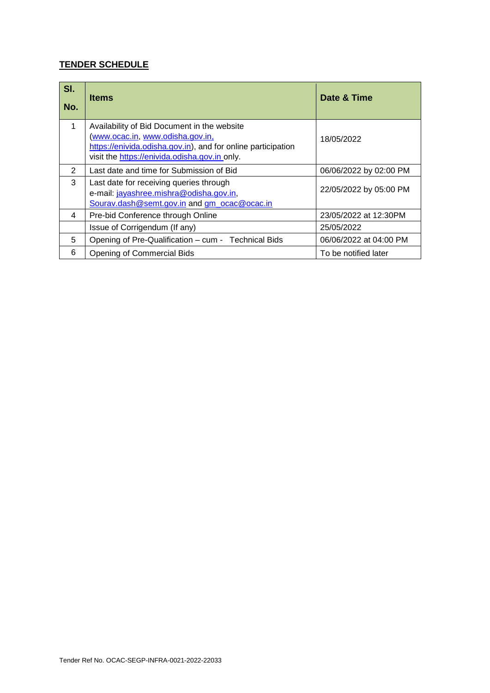## **TENDER SCHEDULE**

| SI.<br>No. | <b>Items</b>                                                                                                                                                                                    | Date & Time            |
|------------|-------------------------------------------------------------------------------------------------------------------------------------------------------------------------------------------------|------------------------|
| 1          | Availability of Bid Document in the website<br>www.ocac.in, www.odisha.gov.in,<br>https://enivida.odisha.gov.in), and for online participation<br>visit the https://enivida.odisha.gov.in only. | 18/05/2022             |
| 2          | Last date and time for Submission of Bid                                                                                                                                                        | 06/06/2022 by 02:00 PM |
| 3          | Last date for receiving queries through<br>e-mail: jayashree.mishra@odisha.gov.in,<br>Sourav.dash@semt.gov.in and gm_ocac@ocac.in                                                               | 22/05/2022 by 05:00 PM |
| 4          | Pre-bid Conference through Online                                                                                                                                                               | 23/05/2022 at 12:30PM  |
|            | Issue of Corrigendum (If any)                                                                                                                                                                   | 25/05/2022             |
| 5          | Opening of Pre-Qualification - cum - Technical Bids                                                                                                                                             | 06/06/2022 at 04:00 PM |
| 6          | <b>Opening of Commercial Bids</b>                                                                                                                                                               | To be notified later   |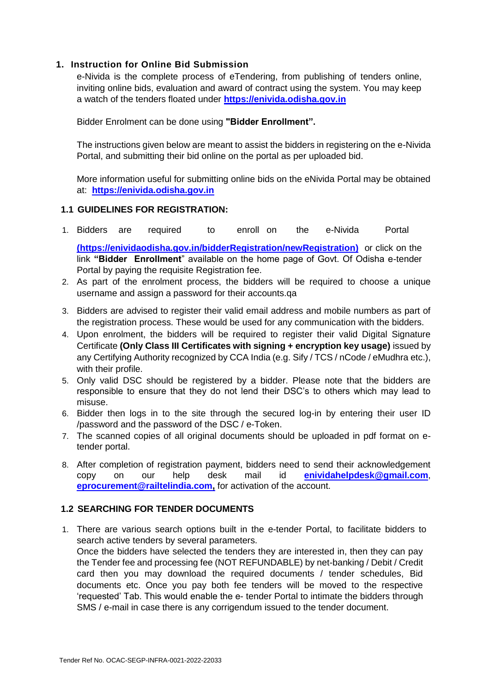#### <span id="page-5-0"></span>**1. Instruction for Online Bid Submission**

e-Nivida is the complete process of eTendering, from publishing of tenders online, inviting online bids, evaluation and award of contract using the system. You may keep a watch of the tenders floated under **https://enivida.odisha.gov.in**

Bidder Enrolment can be done using **"Bidder Enrollment".** 

The instructions given below are meant to assist the bidders in registering on the e-Nivida Portal, and submitting their bid online on the portal as per uploaded bid.

More information useful for submitting online bids on the eNivida Portal may be obtained at: **[https://enivida.odisha.gov.in](https://enivida.odisha.gov.in/)**

#### <span id="page-5-1"></span>**1.1 GUIDELINES FOR REGISTRATION:**

1. Bidders are required to enroll on the e-Nivida Portal

**[\(https://enividaodisha.gov.in/bidderRegistration/newRegistration\)](https://enividaodisha.gov.in/bidderRegistration/newRegistration)** or click on the link **"Bidder Enrollment**" available on the home page of Govt. Of Odisha e-tender Portal by paying the requisite Registration fee.

- 2. As part of the enrolment process, the bidders will be required to choose a unique username and assign a password for their accounts.qa
- 3. Bidders are advised to register their valid email address and mobile numbers as part of the registration process. These would be used for any communication with the bidders.
- 4. Upon enrolment, the bidders will be required to register their valid Digital Signature Certificate **(Only Class III Certificates with signing + encryption key usage)** issued by any Certifying Authority recognized by CCA India (e.g. Sify / TCS / nCode / eMudhra etc.), with their profile.
- 5. Only valid DSC should be registered by a bidder. Please note that the bidders are responsible to ensure that they do not lend their DSC's to others which may lead to misuse.
- 6. Bidder then logs in to the site through the secured log-in by entering their user ID /password and the password of the DSC / e-Token.
- 7. The scanned copies of all original documents should be uploaded in pdf format on etender portal.
- 8. After completion of registration payment, bidders need to send their acknowledgement copy on our help desk mail id **enividahelpdesk@gmail.com**, **eprocurement@railtelindia.com,** for activation of the account.

#### <span id="page-5-2"></span>**1.2 SEARCHING FOR TENDER DOCUMENTS**

1. There are various search options built in the e-tender Portal, to facilitate bidders to search active tenders by several parameters. Once the bidders have selected the tenders they are interested in, then they can pay the Tender fee and processing fee (NOT REFUNDABLE) by net-banking / Debit / Credit card then you may download the required documents / tender schedules, Bid documents etc. Once you pay both fee tenders will be moved to the respective 'requested' Tab. This would enable the e- tender Portal to intimate the bidders through SMS / e-mail in case there is any corrigendum issued to the tender document.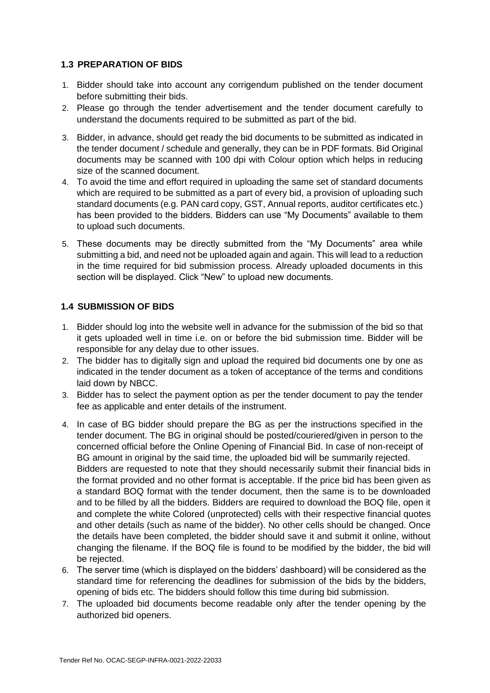#### <span id="page-6-0"></span>**1.3 PREPARATION OF BIDS**

- 1. Bidder should take into account any corrigendum published on the tender document before submitting their bids.
- 2. Please go through the tender advertisement and the tender document carefully to understand the documents required to be submitted as part of the bid.
- 3. Bidder, in advance, should get ready the bid documents to be submitted as indicated in the tender document / schedule and generally, they can be in PDF formats. Bid Original documents may be scanned with 100 dpi with Colour option which helps in reducing size of the scanned document.
- 4. To avoid the time and effort required in uploading the same set of standard documents which are required to be submitted as a part of every bid, a provision of uploading such standard documents (e.g. PAN card copy, GST, Annual reports, auditor certificates etc.) has been provided to the bidders. Bidders can use "My Documents" available to them to upload such documents.
- 5. These documents may be directly submitted from the "My Documents" area while submitting a bid, and need not be uploaded again and again. This will lead to a reduction in the time required for bid submission process. Already uploaded documents in this section will be displayed. Click "New" to upload new documents.

#### <span id="page-6-1"></span>**1.4 SUBMISSION OF BIDS**

- 1. Bidder should log into the website well in advance for the submission of the bid so that it gets uploaded well in time i.e. on or before the bid submission time. Bidder will be responsible for any delay due to other issues.
- 2. The bidder has to digitally sign and upload the required bid documents one by one as indicated in the tender document as a token of acceptance of the terms and conditions laid down by NBCC.
- 3. Bidder has to select the payment option as per the tender document to pay the tender fee as applicable and enter details of the instrument.
- 4. In case of BG bidder should prepare the BG as per the instructions specified in the tender document. The BG in original should be posted/couriered/given in person to the concerned official before the Online Opening of Financial Bid. In case of non-receipt of BG amount in original by the said time, the uploaded bid will be summarily rejected. Bidders are requested to note that they should necessarily submit their financial bids in the format provided and no other format is acceptable. If the price bid has been given as a standard BOQ format with the tender document, then the same is to be downloaded and to be filled by all the bidders. Bidders are required to download the BOQ file, open it and complete the white Colored (unprotected) cells with their respective financial quotes and other details (such as name of the bidder). No other cells should be changed. Once the details have been completed, the bidder should save it and submit it online, without changing the filename. If the BOQ file is found to be modified by the bidder, the bid will be rejected.
- 6. The server time (which is displayed on the bidders' dashboard) will be considered as the standard time for referencing the deadlines for submission of the bids by the bidders, opening of bids etc. The bidders should follow this time during bid submission.
- 7. The uploaded bid documents become readable only after the tender opening by the authorized bid openers.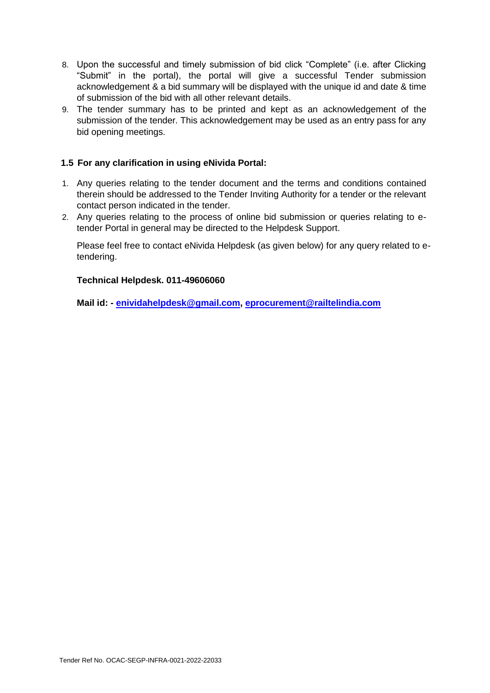- 8. Upon the successful and timely submission of bid click "Complete" (i.e. after Clicking "Submit" in the portal), the portal will give a successful Tender submission acknowledgement & a bid summary will be displayed with the unique id and date & time of submission of the bid with all other relevant details.
- 9. The tender summary has to be printed and kept as an acknowledgement of the submission of the tender. This acknowledgement may be used as an entry pass for any bid opening meetings.

#### <span id="page-7-0"></span>**1.5 For any clarification in using eNivida Portal:**

- 1. Any queries relating to the tender document and the terms and conditions contained therein should be addressed to the Tender Inviting Authority for a tender or the relevant contact person indicated in the tender.
- 2. Any queries relating to the process of online bid submission or queries relating to etender Portal in general may be directed to the Helpdesk Support.

Please feel free to contact eNivida Helpdesk (as given below) for any query related to etendering.

#### **Technical Helpdesk. 011-49606060**

**Mail id: - enividahelpdesk@gmail.com, eprocurement@railtelindia.com**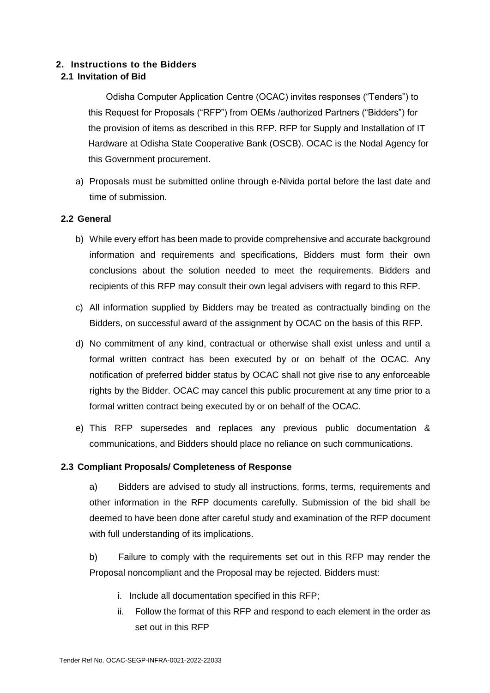#### <span id="page-8-0"></span>**2. Instructions to the Bidders**

#### <span id="page-8-1"></span>**2.1 Invitation of Bid**

Odisha Computer Application Centre (OCAC) invites responses ("Tenders") to this Request for Proposals ("RFP") from OEMs /authorized Partners ("Bidders") for the provision of items as described in this RFP. RFP for Supply and Installation of IT Hardware at Odisha State Cooperative Bank (OSCB). OCAC is the Nodal Agency for this Government procurement.

a) Proposals must be submitted online through e-Nivida portal before the last date and time of submission.

#### <span id="page-8-2"></span>**2.2 General**

- b) While every effort has been made to provide comprehensive and accurate background information and requirements and specifications, Bidders must form their own conclusions about the solution needed to meet the requirements. Bidders and recipients of this RFP may consult their own legal advisers with regard to this RFP.
- c) All information supplied by Bidders may be treated as contractually binding on the Bidders, on successful award of the assignment by OCAC on the basis of this RFP.
- d) No commitment of any kind, contractual or otherwise shall exist unless and until a formal written contract has been executed by or on behalf of the OCAC. Any notification of preferred bidder status by OCAC shall not give rise to any enforceable rights by the Bidder. OCAC may cancel this public procurement at any time prior to a formal written contract being executed by or on behalf of the OCAC.
- e) This RFP supersedes and replaces any previous public documentation & communications, and Bidders should place no reliance on such communications.

#### <span id="page-8-3"></span>**2.3 Compliant Proposals/ Completeness of Response**

a) Bidders are advised to study all instructions, forms, terms, requirements and other information in the RFP documents carefully. Submission of the bid shall be deemed to have been done after careful study and examination of the RFP document with full understanding of its implications.

b) Failure to comply with the requirements set out in this RFP may render the Proposal noncompliant and the Proposal may be rejected. Bidders must:

- i. Include all documentation specified in this RFP;
- ii. Follow the format of this RFP and respond to each element in the order as set out in this RFP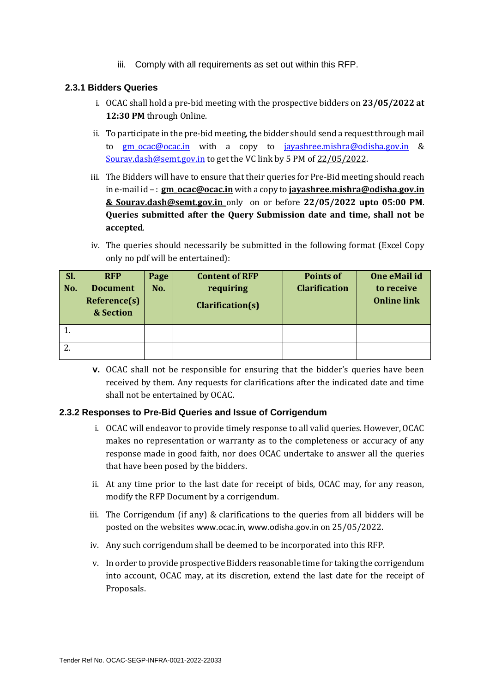iii. Comply with all requirements as set out within this RFP.

#### **2.3.1 Bidders Queries**

- i. OCAC shall hold a pre-bid meeting with the prospective bidders on **23/05/2022 at 12:30 PM** through Online.
- ii. To participate in the pre-bid meeting, the bidder should send a request through mail to [gm\\_ocac@ocac.in](mailto:gm_ocac@ocac.in) with a copy to [jayashree.mishra@odisha.gov.in](mailto:jayashree.mishra@odisha.gov.in) & [Sourav.dash@semt.gov.in](mailto:Sourav.dash@semt.gov.in) to get the VC link by 5 PM of 22/05/2022.
- iii. The Bidders will have to ensure that their queries for Pre-Bid meeting should reach in e-mail id – : **gm\_ocac@ocac.in** with a copy to **[jayashree.mishra@odisha.gov.in](mailto:jayashree.mishra@odisha.gov.in) & Sourav.dash@semt.gov.in** only on or before **22/05/2022 upto 05:00 PM**. **Queries submitted after the Query Submission date and time, shall not be accepted**.
- iv. The queries should necessarily be submitted in the following format (Excel Copy only no pdf will be entertained):

| Sl.<br>No. | <b>RFP</b><br><b>Document</b><br>Reference(s)<br>& Section | Page<br>No. | <b>Content of RFP</b><br>requiring<br><b>Clarification(s)</b> | <b>Points of</b><br><b>Clarification</b> | One eMail id<br>to receive<br><b>Online link</b> |
|------------|------------------------------------------------------------|-------------|---------------------------------------------------------------|------------------------------------------|--------------------------------------------------|
|            |                                                            |             |                                                               |                                          |                                                  |
|            |                                                            |             |                                                               |                                          |                                                  |

**v.** OCAC shall not be responsible for ensuring that the bidder's queries have been received by them. Any requests for clarifications after the indicated date and time shall not be entertained by OCAC.

#### **2.3.2 Responses to Pre-Bid Queries and Issue of Corrigendum**

- i. OCAC will endeavor to provide timely response to all valid queries. However, OCAC makes no representation or warranty as to the completeness or accuracy of any response made in good faith, nor does OCAC undertake to answer all the queries that have been posed by the bidders.
- ii. At any time prior to the last date for receipt of bids, OCAC may, for any reason, modify the RFP Document by a corrigendum.
- iii. The Corrigendum (if any) & clarifications to the queries from all bidders will be posted on the websites [www.ocac.in](http://www.ocac.in/), [www.odisha.gov.in](http://www.odisha.gov.in/) on 25/05/2022.
- iv. Any such corrigendum shall be deemed to be incorporated into this RFP.
- v. In order to provide prospective Bidders reasonable time for taking the corrigendum into account, OCAC may, at its discretion, extend the last date for the receipt of Proposals.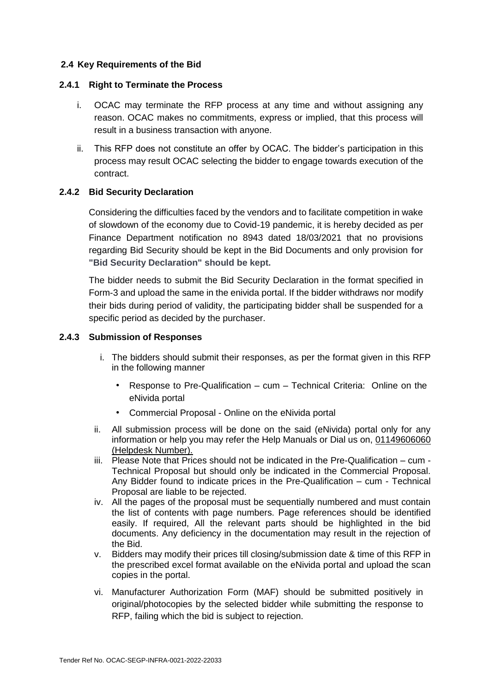#### <span id="page-10-0"></span>**2.4 Key Requirements of the Bid**

#### <span id="page-10-1"></span>**2.4.1 Right to Terminate the Process**

- i. OCAC may terminate the RFP process at any time and without assigning any reason. OCAC makes no commitments, express or implied, that this process will result in a business transaction with anyone.
- ii. This RFP does not constitute an offer by OCAC. The bidder's participation in this process may result OCAC selecting the bidder to engage towards execution of the contract.

#### <span id="page-10-2"></span>**2.4.2 Bid Security Declaration**

Considering the difficulties faced by the vendors and to facilitate competition in wake of slowdown of the economy due to Covid-19 pandemic, it is hereby decided as per Finance Department notification no 8943 dated 18/03/2021 that no provisions regarding Bid Security should be kept in the Bid Documents and only provision **for "Bid Security Declaration" should be kept.**

The bidder needs to submit the Bid Security Declaration in the format specified in Form-3 and upload the same in the enivida portal. If the bidder withdraws nor modify their bids during period of validity, the participating bidder shall be suspended for a specific period as decided by the purchaser.

#### <span id="page-10-3"></span>**2.4.3 Submission of Responses**

- i. The bidders should submit their responses, as per the format given in this RFP in the following manner
	- Response to Pre-Qualification cum Technical Criteria: Online on the eNivida portal
	- Commercial Proposal Online on the eNivida portal
- ii. All submission process will be done on the said (eNivida) portal only for any information or help you may refer the Help Manuals or Dial us on, 01149606060 (Helpdesk Number).
- iii. Please Note that Prices should not be indicated in the Pre-Qualification cum Technical Proposal but should only be indicated in the Commercial Proposal. Any Bidder found to indicate prices in the Pre-Qualification – cum - Technical Proposal are liable to be rejected.
- iv. All the pages of the proposal must be sequentially numbered and must contain the list of contents with page numbers. Page references should be identified easily. If required, All the relevant parts should be highlighted in the bid documents. Any deficiency in the documentation may result in the rejection of the Bid.
- v. Bidders may modify their prices till closing/submission date & time of this RFP in the prescribed excel format available on the eNivida portal and upload the scan copies in the portal.
- vi. Manufacturer Authorization Form (MAF) should be submitted positively in original/photocopies by the selected bidder while submitting the response to RFP, failing which the bid is subject to rejection.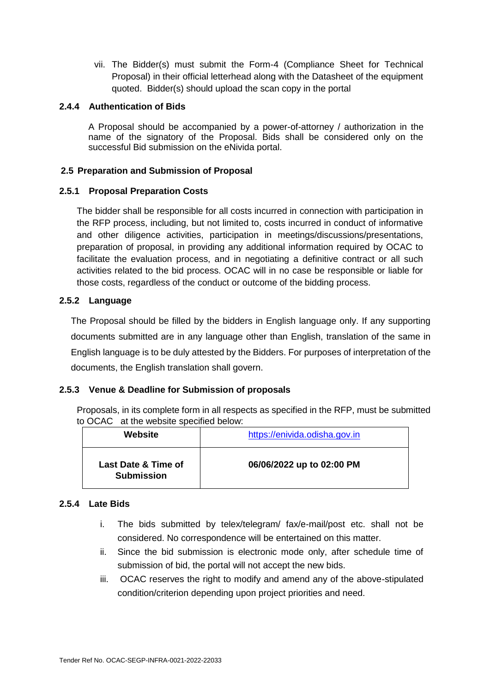vii. The Bidder(s) must submit the Form-4 (Compliance Sheet for Technical Proposal) in their official letterhead along with the Datasheet of the equipment quoted. Bidder(s) should upload the scan copy in the portal

#### <span id="page-11-0"></span>**2.4.4 Authentication of Bids**

A Proposal should be accompanied by a power-of-attorney / authorization in the name of the signatory of the Proposal. Bids shall be considered only on the successful Bid submission on the eNivida portal.

#### <span id="page-11-1"></span>**2.5 Preparation and Submission of Proposal**

#### <span id="page-11-2"></span>**2.5.1 Proposal Preparation Costs**

The bidder shall be responsible for all costs incurred in connection with participation in the RFP process, including, but not limited to, costs incurred in conduct of informative and other diligence activities, participation in meetings/discussions/presentations, preparation of proposal, in providing any additional information required by OCAC to facilitate the evaluation process, and in negotiating a definitive contract or all such activities related to the bid process. OCAC will in no case be responsible or liable for those costs, regardless of the conduct or outcome of the bidding process.

#### <span id="page-11-3"></span>**2.5.2 Language**

The Proposal should be filled by the bidders in English language only. If any supporting documents submitted are in any language other than English, translation of the same in English language is to be duly attested by the Bidders. For purposes of interpretation of the documents, the English translation shall govern.

#### <span id="page-11-4"></span>**2.5.3 Venue & Deadline for Submission of proposals**

Proposals, in its complete form in all respects as specified in the RFP, must be submitted to OCAC at the website specified below:

| Website                                  | https://enivida.odisha.gov.in |
|------------------------------------------|-------------------------------|
| Last Date & Time of<br><b>Submission</b> | 06/06/2022 up to 02:00 PM     |

#### <span id="page-11-5"></span>**2.5.4 Late Bids**

- i. The bids submitted by telex/telegram/ fax/e-mail/post etc. shall not be considered. No correspondence will be entertained on this matter.
- ii. Since the bid submission is electronic mode only, after schedule time of submission of bid, the portal will not accept the new bids.
- iii. OCAC reserves the right to modify and amend any of the above-stipulated condition/criterion depending upon project priorities and need.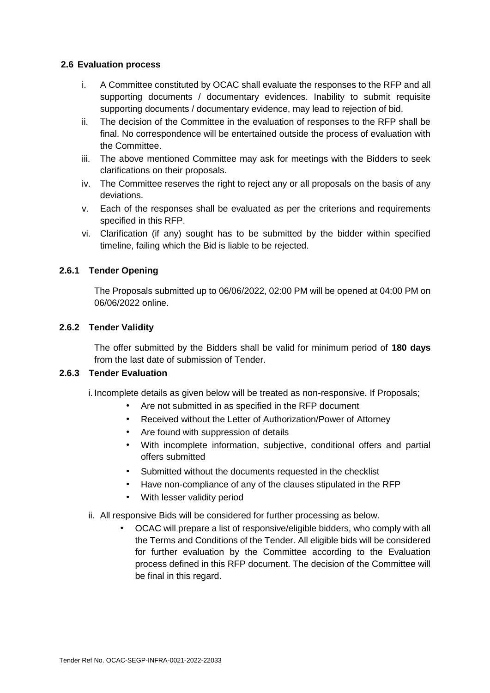#### <span id="page-12-0"></span>**2.6 Evaluation process**

- i. A Committee constituted by OCAC shall evaluate the responses to the RFP and all supporting documents / documentary evidences. Inability to submit requisite supporting documents / documentary evidence, may lead to rejection of bid.
- ii. The decision of the Committee in the evaluation of responses to the RFP shall be final. No correspondence will be entertained outside the process of evaluation with the Committee.
- iii. The above mentioned Committee may ask for meetings with the Bidders to seek clarifications on their proposals.
- iv. The Committee reserves the right to reject any or all proposals on the basis of any deviations.
- v. Each of the responses shall be evaluated as per the criterions and requirements specified in this RFP.
- vi. Clarification (if any) sought has to be submitted by the bidder within specified timeline, failing which the Bid is liable to be rejected.

#### <span id="page-12-1"></span>**2.6.1 Tender Opening**

The Proposals submitted up to 06/06/2022, 02:00 PM will be opened at 04:00 PM on 06/06/2022 online.

#### <span id="page-12-2"></span>**2.6.2 Tender Validity**

The offer submitted by the Bidders shall be valid for minimum period of **180 days** from the last date of submission of Tender.

#### <span id="page-12-3"></span>**2.6.3 Tender Evaluation**

i. Incomplete details as given below will be treated as non-responsive. If Proposals;

- Are not submitted in as specified in the RFP document
- Received without the Letter of Authorization/Power of Attorney
- Are found with suppression of details
- With incomplete information, subjective, conditional offers and partial offers submitted
- Submitted without the documents requested in the checklist
- Have non-compliance of any of the clauses stipulated in the RFP
- With lesser validity period
- ii. All responsive Bids will be considered for further processing as below.
	- OCAC will prepare a list of responsive/eligible bidders, who comply with all the Terms and Conditions of the Tender. All eligible bids will be considered for further evaluation by the Committee according to the Evaluation process defined in this RFP document. The decision of the Committee will be final in this regard.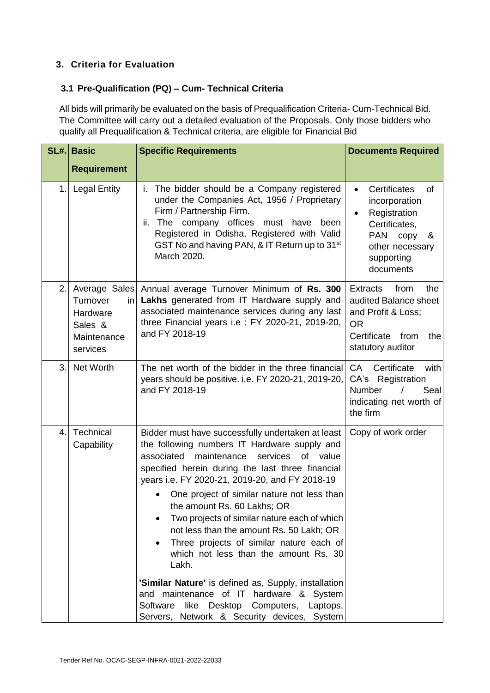#### <span id="page-13-0"></span>**3. Criteria for Evaluation**

#### <span id="page-13-1"></span>**3.1 Pre-Qualification (PQ) – Cum- Technical Criteria**

All bids will primarily be evaluated on the basis of Prequalification Criteria- Cum-Technical Bid. The Committee will carry out a detailed evaluation of the Proposals. Only those bidders who qualify all Prequalification & Technical criteria, are eligible for Financial Bid

| <b>Requirement</b>                                                                |                                                                                                                                                                                                                                                                                                                                                                                                                                                                                                                                                                                                                                         |                                                                                                                                                                         |
|-----------------------------------------------------------------------------------|-----------------------------------------------------------------------------------------------------------------------------------------------------------------------------------------------------------------------------------------------------------------------------------------------------------------------------------------------------------------------------------------------------------------------------------------------------------------------------------------------------------------------------------------------------------------------------------------------------------------------------------------|-------------------------------------------------------------------------------------------------------------------------------------------------------------------------|
|                                                                                   |                                                                                                                                                                                                                                                                                                                                                                                                                                                                                                                                                                                                                                         |                                                                                                                                                                         |
| <b>Legal Entity</b>                                                               | The bidder should be a Company registered<br>İ.<br>under the Companies Act, 1956 / Proprietary<br>Firm / Partnership Firm.<br>ii. The<br>company<br>offices must have<br>been<br>Registered in Odisha, Registered with Valid<br>GST No and having PAN, & IT Return up to 31 <sup>st</sup><br>March 2020.                                                                                                                                                                                                                                                                                                                                | Certificates<br>$\bullet$<br>οf<br>incorporation<br>Registration<br>$\bullet$<br>Certificates,<br><b>PAN</b><br>copy<br>&<br>other necessary<br>supporting<br>documents |
| Average Sales<br>Turnover<br>in<br>Hardware<br>Sales &<br>Maintenance<br>services | Annual average Turnover Minimum of Rs. 300<br>Lakhs generated from IT Hardware supply and<br>associated maintenance services during any last<br>three Financial years i.e : FY 2020-21, 2019-20,<br>and FY 2018-19                                                                                                                                                                                                                                                                                                                                                                                                                      | <b>Extracts</b><br>from<br>the<br>audited Balance sheet<br>and Profit & Loss;<br><b>OR</b><br>Certificate<br>from<br>the<br>statutory auditor                           |
| Net Worth                                                                         | The net worth of the bidder in the three financial<br>years should be positive. i.e. FY 2020-21, 2019-20,<br>and FY 2018-19                                                                                                                                                                                                                                                                                                                                                                                                                                                                                                             | CA<br>Certificate<br>with<br>CA's<br>Registration<br>Number<br>Seal<br>$\prime$<br>indicating net worth of<br>the firm                                                  |
| Technical<br>Capability                                                           | Bidder must have successfully undertaken at least<br>the following numbers IT Hardware supply and<br>maintenance<br>services<br>of value<br>associated<br>specified herein during the last three financial<br>years i.e. FY 2020-21, 2019-20, and FY 2018-19<br>One project of similar nature not less than<br>the amount Rs. 60 Lakhs; OR<br>Two projects of similar nature each of which<br>not less than the amount Rs. 50 Lakh; OR<br>Three projects of similar nature each of<br>which not less than the amount Rs. 30<br>Lakh.<br>'Similar Nature' is defined as, Supply, installation<br>and maintenance of IT hardware & System | Copy of work order                                                                                                                                                      |
|                                                                                   |                                                                                                                                                                                                                                                                                                                                                                                                                                                                                                                                                                                                                                         | Software<br>like Desktop Computers, Laptops,<br>Servers, Network & Security devices, System                                                                             |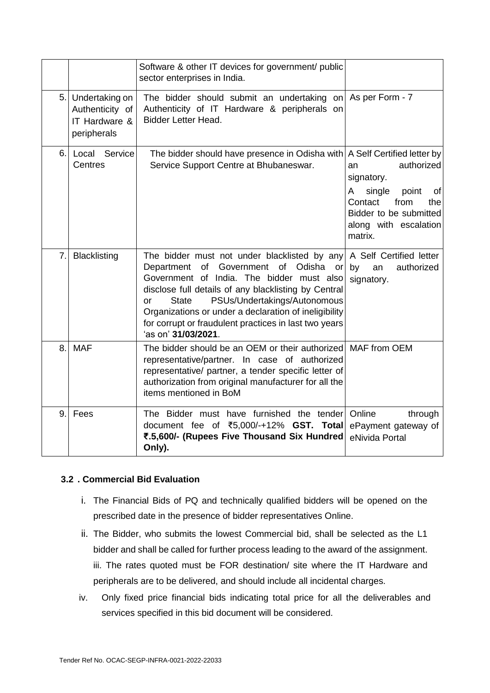|     |                                                                   | Software & other IT devices for government/ public<br>sector enterprises in India.                                                                                                                                                                                                                                                                                                                 |                                                                                                                                                      |
|-----|-------------------------------------------------------------------|----------------------------------------------------------------------------------------------------------------------------------------------------------------------------------------------------------------------------------------------------------------------------------------------------------------------------------------------------------------------------------------------------|------------------------------------------------------------------------------------------------------------------------------------------------------|
| 5.1 | Undertaking on<br>Authenticity of<br>IT Hardware &<br>peripherals | The bidder should submit an undertaking on As per Form - 7<br>Authenticity of IT Hardware & peripherals on<br><b>Bidder Letter Head.</b>                                                                                                                                                                                                                                                           |                                                                                                                                                      |
| 6.  | Service<br>Local<br>Centres                                       | The bidder should have presence in Odisha with A Self Certified letter by<br>Service Support Centre at Bhubaneswar.                                                                                                                                                                                                                                                                                | authorized<br>an<br>signatory.<br>A<br>single<br>point<br>of<br>Contact<br>from<br>the<br>Bidder to be submitted<br>along with escalation<br>matrix. |
| 7.  | <b>Blacklisting</b>                                               | The bidder must not under blacklisted by any<br>Government of<br>Department<br>of<br>Odisha or<br>Government of India. The bidder must also<br>disclose full details of any blacklisting by Central<br>PSUs/Undertakings/Autonomous<br><b>State</b><br>or<br>Organizations or under a declaration of ineligibility<br>for corrupt or fraudulent practices in last two years<br>'as on' 31/03/2021. | A Self Certified letter<br>authorized<br>by<br>an<br>signatory.                                                                                      |
| 8.  | <b>MAF</b>                                                        | The bidder should be an OEM or their authorized MAF from OEM<br>representative/partner. In case of authorized<br>representative/ partner, a tender specific letter of<br>authorization from original manufacturer for all the<br>items mentioned in BoM                                                                                                                                            |                                                                                                                                                      |
| 9.  | Fees                                                              | The Bidder must have furnished the tender<br>document fee of ₹5,000/-+12% GST. Total<br>₹.5,600/- (Rupees Five Thousand Six Hundred<br>Only).                                                                                                                                                                                                                                                      | Online<br>through<br>ePayment gateway of<br>eNivida Portal                                                                                           |

#### <span id="page-14-0"></span>**3.2 . Commercial Bid Evaluation**

- i. The Financial Bids of PQ and technically qualified bidders will be opened on the prescribed date in the presence of bidder representatives Online.
- ii. The Bidder, who submits the lowest Commercial bid, shall be selected as the L1 bidder and shall be called for further process leading to the award of the assignment. iii. The rates quoted must be FOR destination/ site where the IT Hardware and peripherals are to be delivered, and should include all incidental charges.
- iv. Only fixed price financial bids indicating total price for all the deliverables and services specified in this bid document will be considered.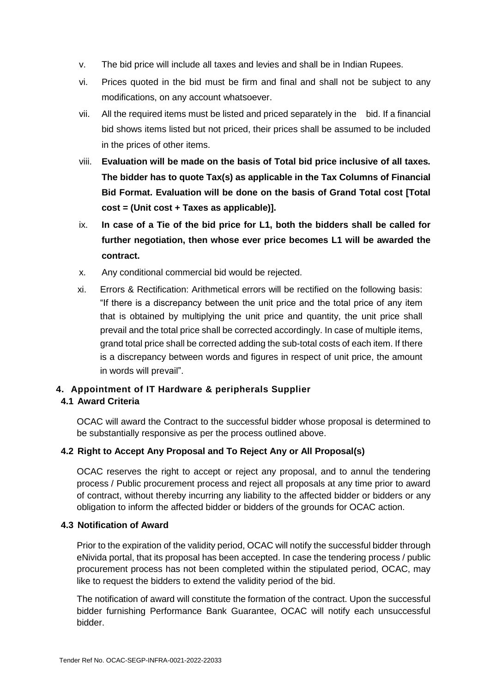- v. The bid price will include all taxes and levies and shall be in Indian Rupees.
- vi. Prices quoted in the bid must be firm and final and shall not be subject to any modifications, on any account whatsoever.
- vii. All the required items must be listed and priced separately in the bid. If a financial bid shows items listed but not priced, their prices shall be assumed to be included in the prices of other items.
- viii. **Evaluation will be made on the basis of Total bid price inclusive of all taxes. The bidder has to quote Tax(s) as applicable in the Tax Columns of Financial Bid Format. Evaluation will be done on the basis of Grand Total cost [Total cost = (Unit cost + Taxes as applicable)].**
- ix. **In case of a Tie of the bid price for L1, both the bidders shall be called for further negotiation, then whose ever price becomes L1 will be awarded the contract.**
- x. Any conditional commercial bid would be rejected.
- xi. Errors & Rectification: Arithmetical errors will be rectified on the following basis: "If there is a discrepancy between the unit price and the total price of any item that is obtained by multiplying the unit price and quantity, the unit price shall prevail and the total price shall be corrected accordingly. In case of multiple items, grand total price shall be corrected adding the sub-total costs of each item. If there is a discrepancy between words and figures in respect of unit price, the amount in words will prevail".

## <span id="page-15-0"></span>**4. Appointment of IT Hardware & peripherals Supplier**

#### <span id="page-15-1"></span>**4.1 Award Criteria**

OCAC will award the Contract to the successful bidder whose proposal is determined to be substantially responsive as per the process outlined above.

#### <span id="page-15-2"></span>**4.2 Right to Accept Any Proposal and To Reject Any or All Proposal(s)**

OCAC reserves the right to accept or reject any proposal, and to annul the tendering process / Public procurement process and reject all proposals at any time prior to award of contract, without thereby incurring any liability to the affected bidder or bidders or any obligation to inform the affected bidder or bidders of the grounds for OCAC action.

#### <span id="page-15-3"></span>**4.3 Notification of Award**

Prior to the expiration of the validity period, OCAC will notify the successful bidder through eNivida portal, that its proposal has been accepted. In case the tendering process / public procurement process has not been completed within the stipulated period, OCAC, may like to request the bidders to extend the validity period of the bid.

The notification of award will constitute the formation of the contract. Upon the successful bidder furnishing Performance Bank Guarantee, OCAC will notify each unsuccessful bidder.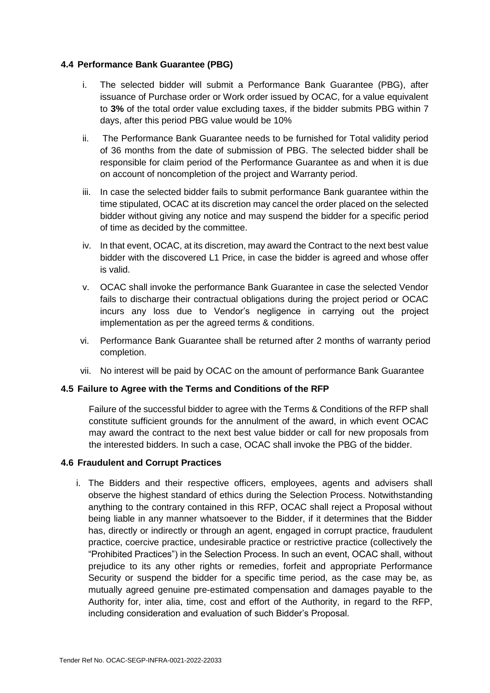#### <span id="page-16-0"></span>**4.4 Performance Bank Guarantee (PBG)**

- i. The selected bidder will submit a Performance Bank Guarantee (PBG), after issuance of Purchase order or Work order issued by OCAC, for a value equivalent to **3%** of the total order value excluding taxes, if the bidder submits PBG within 7 days, after this period PBG value would be 10%
- ii. The Performance Bank Guarantee needs to be furnished for Total validity period of 36 months from the date of submission of PBG. The selected bidder shall be responsible for claim period of the Performance Guarantee as and when it is due on account of noncompletion of the project and Warranty period.
- iii. In case the selected bidder fails to submit performance Bank guarantee within the time stipulated, OCAC at its discretion may cancel the order placed on the selected bidder without giving any notice and may suspend the bidder for a specific period of time as decided by the committee.
- iv. In that event, OCAC, at its discretion, may award the Contract to the next best value bidder with the discovered L1 Price, in case the bidder is agreed and whose offer is valid.
- v. OCAC shall invoke the performance Bank Guarantee in case the selected Vendor fails to discharge their contractual obligations during the project period or OCAC incurs any loss due to Vendor's negligence in carrying out the project implementation as per the agreed terms & conditions.
- vi. Performance Bank Guarantee shall be returned after 2 months of warranty period completion.
- vii. No interest will be paid by OCAC on the amount of performance Bank Guarantee

#### <span id="page-16-1"></span>**4.5 Failure to Agree with the Terms and Conditions of the RFP**

Failure of the successful bidder to agree with the Terms & Conditions of the RFP shall constitute sufficient grounds for the annulment of the award, in which event OCAC may award the contract to the next best value bidder or call for new proposals from the interested bidders. In such a case, OCAC shall invoke the PBG of the bidder.

#### <span id="page-16-2"></span>**4.6 Fraudulent and Corrupt Practices**

i. The Bidders and their respective officers, employees, agents and advisers shall observe the highest standard of ethics during the Selection Process. Notwithstanding anything to the contrary contained in this RFP, OCAC shall reject a Proposal without being liable in any manner whatsoever to the Bidder, if it determines that the Bidder has, directly or indirectly or through an agent, engaged in corrupt practice, fraudulent practice, coercive practice, undesirable practice or restrictive practice (collectively the "Prohibited Practices") in the Selection Process. In such an event, OCAC shall, without prejudice to its any other rights or remedies, forfeit and appropriate Performance Security or suspend the bidder for a specific time period, as the case may be, as mutually agreed genuine pre-estimated compensation and damages payable to the Authority for, inter alia, time, cost and effort of the Authority, in regard to the RFP, including consideration and evaluation of such Bidder's Proposal.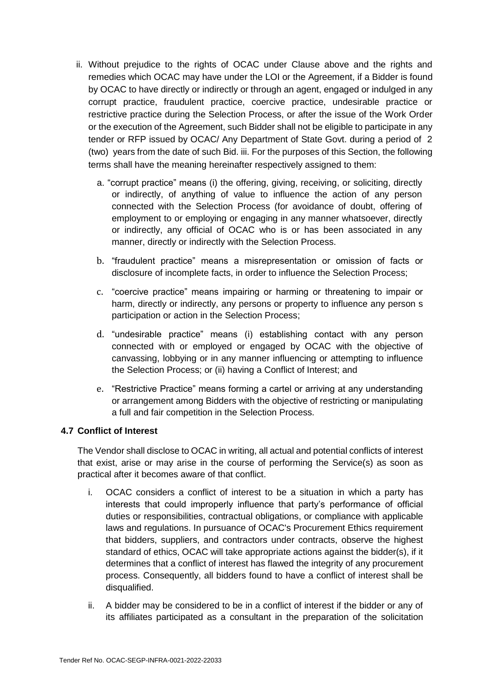- ii. Without prejudice to the rights of OCAC under Clause above and the rights and remedies which OCAC may have under the LOI or the Agreement, if a Bidder is found by OCAC to have directly or indirectly or through an agent, engaged or indulged in any corrupt practice, fraudulent practice, coercive practice, undesirable practice or restrictive practice during the Selection Process, or after the issue of the Work Order or the execution of the Agreement, such Bidder shall not be eligible to participate in any tender or RFP issued by OCAC/ Any Department of State Govt. during a period of 2 (two) years from the date of such Bid. iii. For the purposes of this Section, the following terms shall have the meaning hereinafter respectively assigned to them:
	- a. "corrupt practice" means (i) the offering, giving, receiving, or soliciting, directly or indirectly, of anything of value to influence the action of any person connected with the Selection Process (for avoidance of doubt, offering of employment to or employing or engaging in any manner whatsoever, directly or indirectly, any official of OCAC who is or has been associated in any manner, directly or indirectly with the Selection Process.
	- b. "fraudulent practice" means a misrepresentation or omission of facts or disclosure of incomplete facts, in order to influence the Selection Process;
	- c. "coercive practice" means impairing or harming or threatening to impair or harm, directly or indirectly, any persons or property to influence any person s participation or action in the Selection Process;
	- d. "undesirable practice" means (i) establishing contact with any person connected with or employed or engaged by OCAC with the objective of canvassing, lobbying or in any manner influencing or attempting to influence the Selection Process; or (ii) having a Conflict of Interest; and
	- e. "Restrictive Practice" means forming a cartel or arriving at any understanding or arrangement among Bidders with the objective of restricting or manipulating a full and fair competition in the Selection Process.

#### <span id="page-17-0"></span>**4.7 Conflict of Interest**

The Vendor shall disclose to OCAC in writing, all actual and potential conflicts of interest that exist, arise or may arise in the course of performing the Service(s) as soon as practical after it becomes aware of that conflict.

- i. OCAC considers a conflict of interest to be a situation in which a party has interests that could improperly influence that party's performance of official duties or responsibilities, contractual obligations, or compliance with applicable laws and regulations. In pursuance of OCAC's Procurement Ethics requirement that bidders, suppliers, and contractors under contracts, observe the highest standard of ethics, OCAC will take appropriate actions against the bidder(s), if it determines that a conflict of interest has flawed the integrity of any procurement process. Consequently, all bidders found to have a conflict of interest shall be disqualified.
- ii. A bidder may be considered to be in a conflict of interest if the bidder or any of its affiliates participated as a consultant in the preparation of the solicitation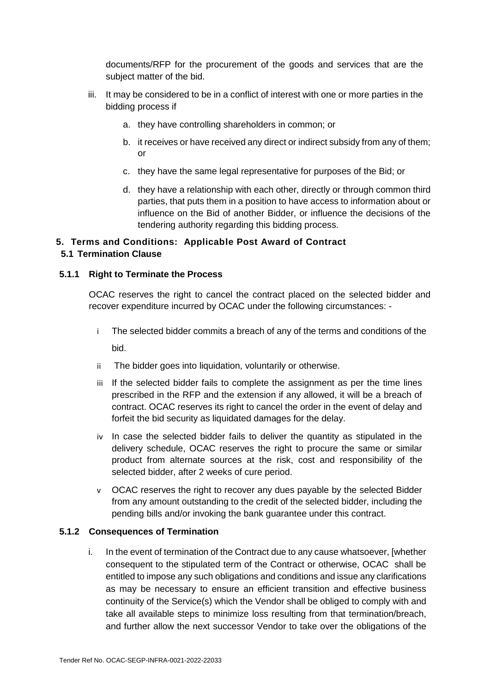documents/RFP for the procurement of the goods and services that are the subject matter of the bid.

- iii. It may be considered to be in a conflict of interest with one or more parties in the bidding process if
	- a. they have controlling shareholders in common; or
	- b. it receives or have received any direct or indirect subsidy from any of them; or
	- c. they have the same legal representative for purposes of the Bid; or
	- d. they have a relationship with each other, directly or through common third parties, that puts them in a position to have access to information about or influence on the Bid of another Bidder, or influence the decisions of the tendering authority regarding this bidding process.

#### <span id="page-18-1"></span><span id="page-18-0"></span>**5. Terms and Conditions: Applicable Post Award of Contract 5.1 Termination Clause**

#### <span id="page-18-2"></span>**5.1.1 Right to Terminate the Process**

OCAC reserves the right to cancel the contract placed on the selected bidder and recover expenditure incurred by OCAC under the following circumstances: -

- i The selected bidder commits a breach of any of the terms and conditions of the bid.
- ii The bidder goes into liquidation, voluntarily or otherwise.
- iii If the selected bidder fails to complete the assignment as per the time lines prescribed in the RFP and the extension if any allowed, it will be a breach of contract. OCAC reserves its right to cancel the order in the event of delay and forfeit the bid security as liquidated damages for the delay.
- iv In case the selected bidder fails to deliver the quantity as stipulated in the delivery schedule, OCAC reserves the right to procure the same or similar product from alternate sources at the risk, cost and responsibility of the selected bidder, after 2 weeks of cure period.
- v OCAC reserves the right to recover any dues payable by the selected Bidder from any amount outstanding to the credit of the selected bidder, including the pending bills and/or invoking the bank guarantee under this contract.

#### <span id="page-18-3"></span>**5.1.2 Consequences of Termination**

i. In the event of termination of the Contract due to any cause whatsoever, [whether consequent to the stipulated term of the Contract or otherwise, OCAC shall be entitled to impose any such obligations and conditions and issue any clarifications as may be necessary to ensure an efficient transition and effective business continuity of the Service(s) which the Vendor shall be obliged to comply with and take all available steps to minimize loss resulting from that termination/breach, and further allow the next successor Vendor to take over the obligations of the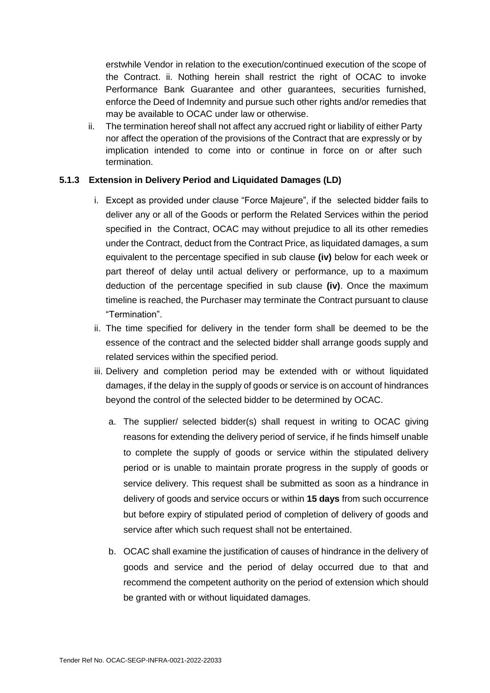erstwhile Vendor in relation to the execution/continued execution of the scope of the Contract. ii. Nothing herein shall restrict the right of OCAC to invoke Performance Bank Guarantee and other guarantees, securities furnished, enforce the Deed of Indemnity and pursue such other rights and/or remedies that may be available to OCAC under law or otherwise.

ii. The termination hereof shall not affect any accrued right or liability of either Party nor affect the operation of the provisions of the Contract that are expressly or by implication intended to come into or continue in force on or after such termination.

#### <span id="page-19-0"></span>**5.1.3 Extension in Delivery Period and Liquidated Damages (LD)**

- i. Except as provided under clause "Force Majeure", if the selected bidder fails to deliver any or all of the Goods or perform the Related Services within the period specified in the Contract, OCAC may without prejudice to all its other remedies under the Contract, deduct from the Contract Price, as liquidated damages, a sum equivalent to the percentage specified in sub clause **(iv)** below for each week or part thereof of delay until actual delivery or performance, up to a maximum deduction of the percentage specified in sub clause **(iv)**. Once the maximum timeline is reached, the Purchaser may terminate the Contract pursuant to clause "Termination".
- ii. The time specified for delivery in the tender form shall be deemed to be the essence of the contract and the selected bidder shall arrange goods supply and related services within the specified period.
- iii. Delivery and completion period may be extended with or without liquidated damages, if the delay in the supply of goods or service is on account of hindrances beyond the control of the selected bidder to be determined by OCAC.
	- a. The supplier/ selected bidder(s) shall request in writing to OCAC giving reasons for extending the delivery period of service, if he finds himself unable to complete the supply of goods or service within the stipulated delivery period or is unable to maintain prorate progress in the supply of goods or service delivery. This request shall be submitted as soon as a hindrance in delivery of goods and service occurs or within **15 days** from such occurrence but before expiry of stipulated period of completion of delivery of goods and service after which such request shall not be entertained.
	- b. OCAC shall examine the justification of causes of hindrance in the delivery of goods and service and the period of delay occurred due to that and recommend the competent authority on the period of extension which should be granted with or without liquidated damages.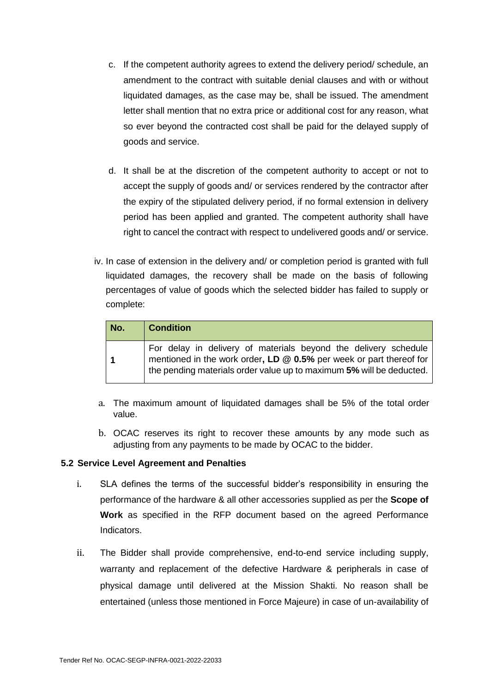- c. If the competent authority agrees to extend the delivery period/ schedule, an amendment to the contract with suitable denial clauses and with or without liquidated damages, as the case may be, shall be issued. The amendment letter shall mention that no extra price or additional cost for any reason, what so ever beyond the contracted cost shall be paid for the delayed supply of goods and service.
- d. It shall be at the discretion of the competent authority to accept or not to accept the supply of goods and/ or services rendered by the contractor after the expiry of the stipulated delivery period, if no formal extension in delivery period has been applied and granted. The competent authority shall have right to cancel the contract with respect to undelivered goods and/ or service.
- iv. In case of extension in the delivery and/ or completion period is granted with full liquidated damages, the recovery shall be made on the basis of following percentages of value of goods which the selected bidder has failed to supply or complete:

| No. | <b>Condition</b>                                                                                                                                                                                               |
|-----|----------------------------------------------------------------------------------------------------------------------------------------------------------------------------------------------------------------|
|     | For delay in delivery of materials beyond the delivery schedule<br>mentioned in the work order, LD @ 0.5% per week or part thereof for<br>the pending materials order value up to maximum 5% will be deducted. |

- a. The maximum amount of liquidated damages shall be 5% of the total order value.
- b. OCAC reserves its right to recover these amounts by any mode such as adjusting from any payments to be made by OCAC to the bidder.

#### <span id="page-20-0"></span>**5.2 Service Level Agreement and Penalties**

- i. SLA defines the terms of the successful bidder's responsibility in ensuring the performance of the hardware & all other accessories supplied as per the **Scope of Work** as specified in the RFP document based on the agreed Performance Indicators.
- ii. The Bidder shall provide comprehensive, end-to-end service including supply, warranty and replacement of the defective Hardware & peripherals in case of physical damage until delivered at the Mission Shakti. No reason shall be entertained (unless those mentioned in Force Majeure) in case of un-availability of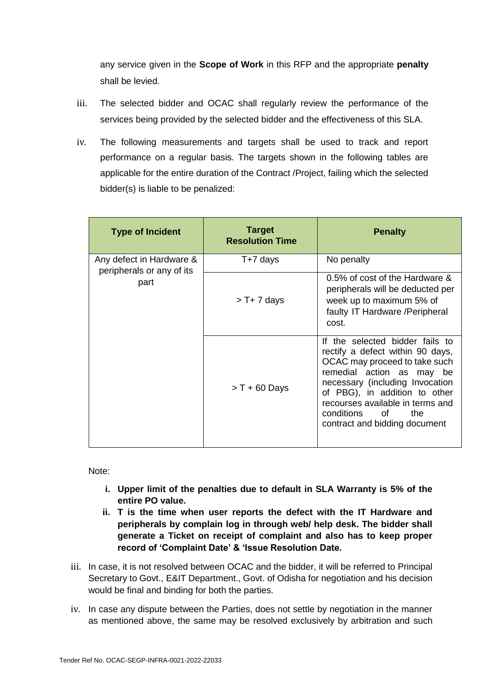any service given in the **Scope of Work** in this RFP and the appropriate **penalty** shall be levied.

- iii. The selected bidder and OCAC shall regularly review the performance of the services being provided by the selected bidder and the effectiveness of this SLA.
- iv. The following measurements and targets shall be used to track and report performance on a regular basis. The targets shown in the following tables are applicable for the entire duration of the Contract /Project, failing which the selected bidder(s) is liable to be penalized:

| <b>Type of Incident</b>                               | <b>Target</b><br><b>Resolution Time</b> | <b>Penalty</b>                                                                                                                                                                                                                                                                                        |
|-------------------------------------------------------|-----------------------------------------|-------------------------------------------------------------------------------------------------------------------------------------------------------------------------------------------------------------------------------------------------------------------------------------------------------|
| Any defect in Hardware &<br>peripherals or any of its | T+7 days                                | No penalty                                                                                                                                                                                                                                                                                            |
| part                                                  | $> T + 7$ days                          | 0.5% of cost of the Hardware &<br>peripherals will be deducted per<br>week up to maximum 5% of<br>faulty IT Hardware / Peripheral<br>cost.                                                                                                                                                            |
|                                                       | $> T + 60$ Days                         | If the selected bidder fails to<br>rectify a defect within 90 days,<br>OCAC may proceed to take such<br>remedial action as may be<br>necessary (including Invocation<br>of PBG), in addition to other<br>recourses available in terms and<br>conditions<br>of<br>the<br>contract and bidding document |

Note:

- **i. Upper limit of the penalties due to default in SLA Warranty is 5% of the entire PO value.**
- **ii. T is the time when user reports the defect with the IT Hardware and peripherals by complain log in through web/ help desk. The bidder shall generate a Ticket on receipt of complaint and also has to keep proper record of 'Complaint Date' & 'Issue Resolution Date.**
- iii. In case, it is not resolved between OCAC and the bidder, it will be referred to Principal Secretary to Govt., E&IT Department., Govt. of Odisha for negotiation and his decision would be final and binding for both the parties.
- iv. In case any dispute between the Parties, does not settle by negotiation in the manner as mentioned above, the same may be resolved exclusively by arbitration and such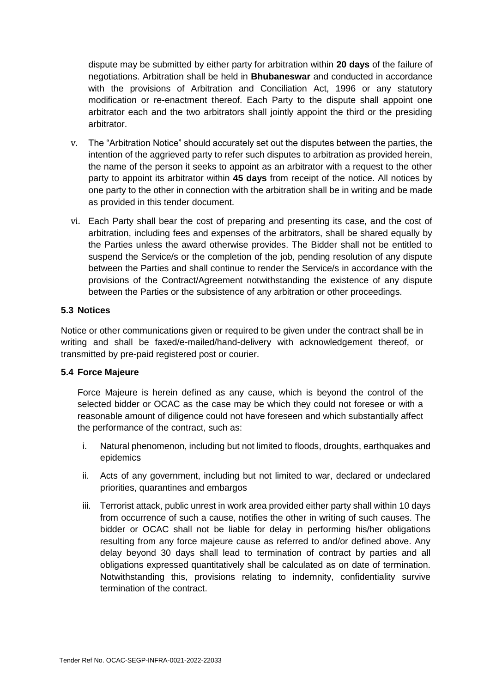dispute may be submitted by either party for arbitration within **20 days** of the failure of negotiations. Arbitration shall be held in **Bhubaneswar** and conducted in accordance with the provisions of Arbitration and Conciliation Act, 1996 or any statutory modification or re-enactment thereof. Each Party to the dispute shall appoint one arbitrator each and the two arbitrators shall jointly appoint the third or the presiding arbitrator.

- v. The "Arbitration Notice" should accurately set out the disputes between the parties, the intention of the aggrieved party to refer such disputes to arbitration as provided herein, the name of the person it seeks to appoint as an arbitrator with a request to the other party to appoint its arbitrator within **45 days** from receipt of the notice. All notices by one party to the other in connection with the arbitration shall be in writing and be made as provided in this tender document.
- vi. Each Party shall bear the cost of preparing and presenting its case, and the cost of arbitration, including fees and expenses of the arbitrators, shall be shared equally by the Parties unless the award otherwise provides. The Bidder shall not be entitled to suspend the Service/s or the completion of the job, pending resolution of any dispute between the Parties and shall continue to render the Service/s in accordance with the provisions of the Contract/Agreement notwithstanding the existence of any dispute between the Parties or the subsistence of any arbitration or other proceedings.

#### <span id="page-22-0"></span>**5.3 Notices**

Notice or other communications given or required to be given under the contract shall be in writing and shall be faxed/e-mailed/hand-delivery with acknowledgement thereof, or transmitted by pre-paid registered post or courier.

#### <span id="page-22-1"></span>**5.4 Force Majeure**

Force Majeure is herein defined as any cause, which is beyond the control of the selected bidder or OCAC as the case may be which they could not foresee or with a reasonable amount of diligence could not have foreseen and which substantially affect the performance of the contract, such as:

- i. Natural phenomenon, including but not limited to floods, droughts, earthquakes and epidemics
- ii. Acts of any government, including but not limited to war, declared or undeclared priorities, quarantines and embargos
- iii. Terrorist attack, public unrest in work area provided either party shall within 10 days from occurrence of such a cause, notifies the other in writing of such causes. The bidder or OCAC shall not be liable for delay in performing his/her obligations resulting from any force majeure cause as referred to and/or defined above. Any delay beyond 30 days shall lead to termination of contract by parties and all obligations expressed quantitatively shall be calculated as on date of termination. Notwithstanding this, provisions relating to indemnity, confidentiality survive termination of the contract.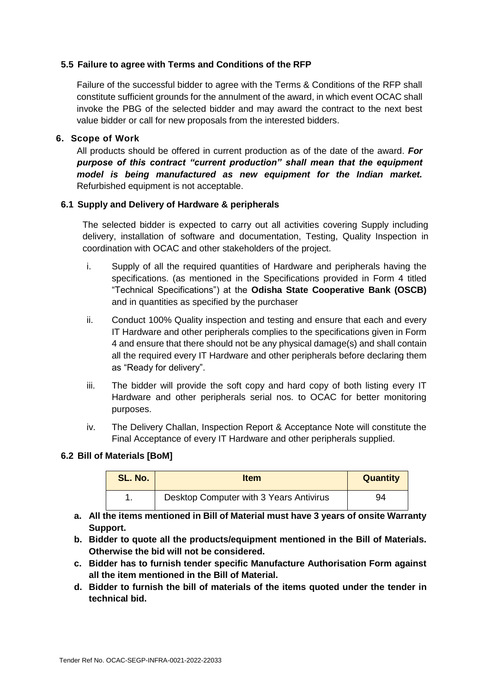#### <span id="page-23-0"></span>**5.5 Failure to agree with Terms and Conditions of the RFP**

Failure of the successful bidder to agree with the Terms & Conditions of the RFP shall constitute sufficient grounds for the annulment of the award, in which event OCAC shall invoke the PBG of the selected bidder and may award the contract to the next best value bidder or call for new proposals from the interested bidders.

#### <span id="page-23-1"></span>**6. Scope of Work**

All products should be offered in current production as of the date of the award. *For purpose of this contract "current production" shall mean that the equipment model is being manufactured as new equipment for the Indian market.*  Refurbished equipment is not acceptable.

#### <span id="page-23-2"></span>**6.1 Supply and Delivery of Hardware & peripherals**

The selected bidder is expected to carry out all activities covering Supply including delivery, installation of software and documentation, Testing, Quality Inspection in coordination with OCAC and other stakeholders of the project.

- i. Supply of all the required quantities of Hardware and peripherals having the specifications. (as mentioned in the Specifications provided in Form 4 titled "Technical Specifications") at the **Odisha State Cooperative Bank (OSCB)** and in quantities as specified by the purchaser
- ii. Conduct 100% Quality inspection and testing and ensure that each and every IT Hardware and other peripherals complies to the specifications given in Form 4 and ensure that there should not be any physical damage(s) and shall contain all the required every IT Hardware and other peripherals before declaring them as "Ready for delivery".
- iii. The bidder will provide the soft copy and hard copy of both listing every IT Hardware and other peripherals serial nos. to OCAC for better monitoring purposes.
- iv. The Delivery Challan, Inspection Report & Acceptance Note will constitute the Final Acceptance of every IT Hardware and other peripherals supplied.

#### <span id="page-23-3"></span>**6.2 Bill of Materials [BoM]**

| SL. No. | <b>Item</b>                             | <b>Quantity</b> |
|---------|-----------------------------------------|-----------------|
|         | Desktop Computer with 3 Years Antivirus | 94              |

- **a. All the items mentioned in Bill of Material must have 3 years of onsite Warranty Support.**
- **b. Bidder to quote all the products/equipment mentioned in the Bill of Materials. Otherwise the bid will not be considered.**
- **c. Bidder has to furnish tender specific Manufacture Authorisation Form against all the item mentioned in the Bill of Material.**
- **d. Bidder to furnish the bill of materials of the items quoted under the tender in technical bid.**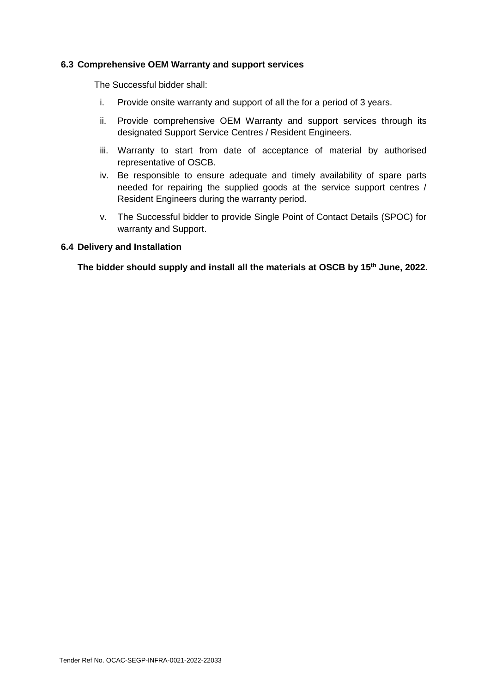#### <span id="page-24-0"></span>**6.3 Comprehensive OEM Warranty and support services**

The Successful bidder shall:

- i. Provide onsite warranty and support of all the for a period of 3 years.
- ii. Provide comprehensive OEM Warranty and support services through its designated Support Service Centres / Resident Engineers.
- iii. Warranty to start from date of acceptance of material by authorised representative of OSCB.
- iv. Be responsible to ensure adequate and timely availability of spare parts needed for repairing the supplied goods at the service support centres / Resident Engineers during the warranty period.
- v. The Successful bidder to provide Single Point of Contact Details (SPOC) for warranty and Support.

#### <span id="page-24-1"></span>**6.4 Delivery and Installation**

**The bidder should supply and install all the materials at OSCB by 15th June, 2022.**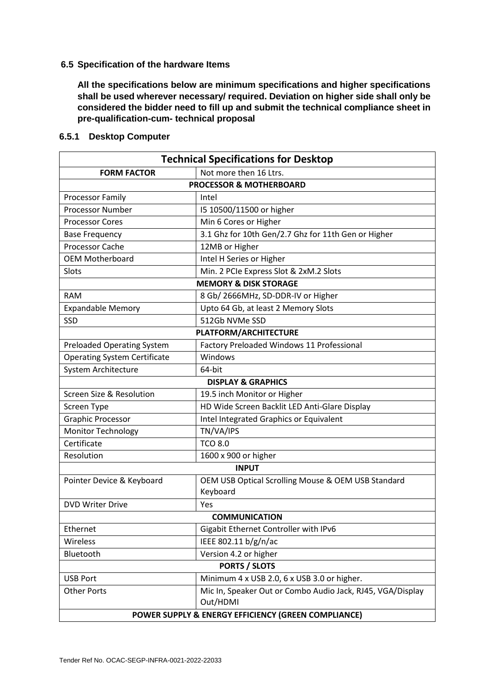#### <span id="page-25-0"></span>**6.5 Specification of the hardware Items**

**All the specifications below are minimum specifications and higher specifications shall be used wherever necessary/ required. Deviation on higher side shall only be considered the bidder need to fill up and submit the technical compliance sheet in pre-qualification-cum- technical proposal** 

| <b>Technical Specifications for Desktop</b>         |                                                                        |  |  |  |
|-----------------------------------------------------|------------------------------------------------------------------------|--|--|--|
| <b>FORM FACTOR</b><br>Not more then 16 Ltrs.        |                                                                        |  |  |  |
|                                                     | <b>PROCESSOR &amp; MOTHERBOARD</b>                                     |  |  |  |
| Processor Family                                    | Intel                                                                  |  |  |  |
| <b>Processor Number</b>                             | 15 10500/11500 or higher                                               |  |  |  |
| <b>Processor Cores</b>                              | Min 6 Cores or Higher                                                  |  |  |  |
| <b>Base Frequency</b>                               | 3.1 Ghz for 10th Gen/2.7 Ghz for 11th Gen or Higher                    |  |  |  |
| <b>Processor Cache</b>                              | 12MB or Higher                                                         |  |  |  |
| <b>OEM Motherboard</b>                              | Intel H Series or Higher                                               |  |  |  |
| Slots                                               | Min. 2 PCIe Express Slot & 2xM.2 Slots                                 |  |  |  |
|                                                     | <b>MEMORY &amp; DISK STORAGE</b>                                       |  |  |  |
| <b>RAM</b>                                          | 8 Gb/ 2666MHz, SD-DDR-IV or Higher                                     |  |  |  |
| <b>Expandable Memory</b>                            | Upto 64 Gb, at least 2 Memory Slots                                    |  |  |  |
| SSD                                                 | 512Gb NVMe SSD                                                         |  |  |  |
|                                                     | <b>PLATFORM/ARCHITECTURE</b>                                           |  |  |  |
| <b>Preloaded Operating System</b>                   | Factory Preloaded Windows 11 Professional                              |  |  |  |
| <b>Operating System Certificate</b>                 | Windows                                                                |  |  |  |
| System Architecture                                 | 64-bit                                                                 |  |  |  |
|                                                     | <b>DISPLAY &amp; GRAPHICS</b>                                          |  |  |  |
| Screen Size & Resolution                            | 19.5 inch Monitor or Higher                                            |  |  |  |
| Screen Type                                         | HD Wide Screen Backlit LED Anti-Glare Display                          |  |  |  |
| <b>Graphic Processor</b>                            | Intel Integrated Graphics or Equivalent                                |  |  |  |
| <b>Monitor Technology</b>                           | TN/VA/IPS                                                              |  |  |  |
| Certificate                                         | <b>TCO 8.0</b>                                                         |  |  |  |
| Resolution                                          | 1600 x 900 or higher                                                   |  |  |  |
|                                                     | <b>INPUT</b>                                                           |  |  |  |
| Pointer Device & Keyboard                           | OEM USB Optical Scrolling Mouse & OEM USB Standard                     |  |  |  |
|                                                     | Keyboard                                                               |  |  |  |
| <b>DVD Writer Drive</b>                             | Yes                                                                    |  |  |  |
|                                                     | <b>COMMUNICATION</b>                                                   |  |  |  |
| Ethernet                                            | Gigabit Ethernet Controller with IPv6                                  |  |  |  |
| Wireless                                            | IEEE 802.11 b/g/n/ac                                                   |  |  |  |
| Bluetooth                                           | Version 4.2 or higher                                                  |  |  |  |
| <b>PORTS / SLOTS</b>                                |                                                                        |  |  |  |
| <b>USB Port</b>                                     | Minimum 4 x USB 2.0, 6 x USB 3.0 or higher.                            |  |  |  |
| <b>Other Ports</b>                                  | Mic In, Speaker Out or Combo Audio Jack, RJ45, VGA/Display<br>Out/HDMI |  |  |  |
| POWER SUPPLY & ENERGY EFFICIENCY (GREEN COMPLIANCE) |                                                                        |  |  |  |

#### <span id="page-25-1"></span>**6.5.1 Desktop Computer**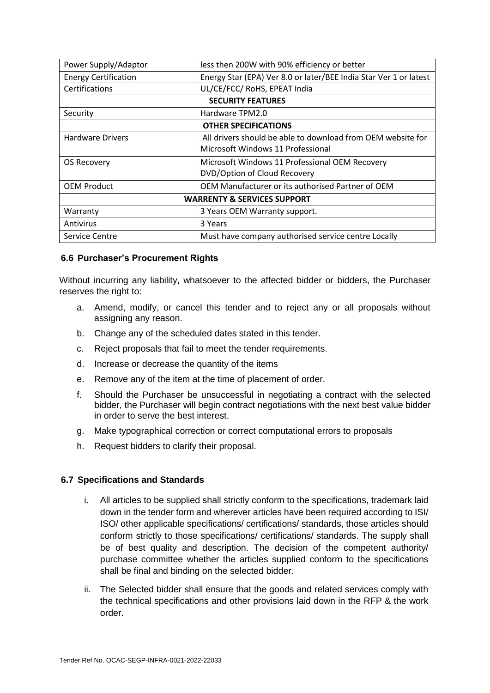| Power Supply/Adaptor                   | less then 200W with 90% efficiency or better                      |  |  |  |
|----------------------------------------|-------------------------------------------------------------------|--|--|--|
| <b>Energy Certification</b>            | Energy Star (EPA) Ver 8.0 or later/BEE India Star Ver 1 or latest |  |  |  |
| Certifications                         | UL/CE/FCC/ RoHS, EPEAT India                                      |  |  |  |
|                                        | <b>SECURITY FEATURES</b>                                          |  |  |  |
| Security                               | Hardware TPM2.0                                                   |  |  |  |
| <b>OTHER SPECIFICATIONS</b>            |                                                                   |  |  |  |
| <b>Hardware Drivers</b>                | All drivers should be able to download from OEM website for       |  |  |  |
|                                        | Microsoft Windows 11 Professional                                 |  |  |  |
| <b>OS Recovery</b>                     | Microsoft Windows 11 Professional OEM Recovery                    |  |  |  |
|                                        | DVD/Option of Cloud Recovery                                      |  |  |  |
| <b>OEM Product</b>                     | OEM Manufacturer or its authorised Partner of OEM                 |  |  |  |
| <b>WARRENTY &amp; SERVICES SUPPORT</b> |                                                                   |  |  |  |
| Warranty                               | 3 Years OEM Warranty support.                                     |  |  |  |
| Antivirus                              | 3 Years                                                           |  |  |  |
| Service Centre                         | Must have company authorised service centre Locally               |  |  |  |

#### <span id="page-26-0"></span>**6.6 Purchaser's Procurement Rights**

Without incurring any liability, whatsoever to the affected bidder or bidders, the Purchaser reserves the right to:

- a. Amend, modify, or cancel this tender and to reject any or all proposals without assigning any reason.
- b. Change any of the scheduled dates stated in this tender.
- c. Reject proposals that fail to meet the tender requirements.
- d. Increase or decrease the quantity of the items
- e. Remove any of the item at the time of placement of order.
- f. Should the Purchaser be unsuccessful in negotiating a contract with the selected bidder, the Purchaser will begin contract negotiations with the next best value bidder in order to serve the best interest.
- g. Make typographical correction or correct computational errors to proposals
- h. Request bidders to clarify their proposal.

#### <span id="page-26-1"></span>**6.7 Specifications and Standards**

- i. All articles to be supplied shall strictly conform to the specifications, trademark laid down in the tender form and wherever articles have been required according to ISI/ ISO/ other applicable specifications/ certifications/ standards, those articles should conform strictly to those specifications/ certifications/ standards. The supply shall be of best quality and description. The decision of the competent authority/ purchase committee whether the articles supplied conform to the specifications shall be final and binding on the selected bidder.
- ii. The Selected bidder shall ensure that the goods and related services comply with the technical specifications and other provisions laid down in the RFP & the work order.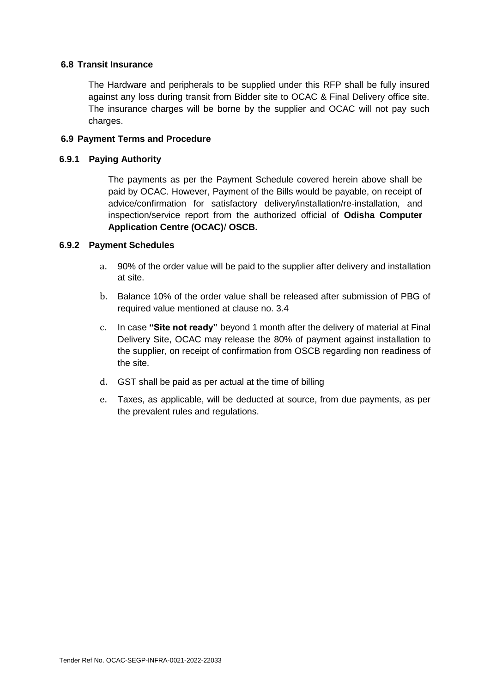#### <span id="page-27-0"></span>**6.8 Transit Insurance**

The Hardware and peripherals to be supplied under this RFP shall be fully insured against any loss during transit from Bidder site to OCAC & Final Delivery office site. The insurance charges will be borne by the supplier and OCAC will not pay such charges.

#### <span id="page-27-1"></span>**6.9 Payment Terms and Procedure**

#### <span id="page-27-2"></span>**6.9.1 Paying Authority**

The payments as per the Payment Schedule covered herein above shall be paid by OCAC. However, Payment of the Bills would be payable, on receipt of advice/confirmation for satisfactory delivery/installation/re-installation, and inspection/service report from the authorized official of **Odisha Computer Application Centre (OCAC)**/ **OSCB.**

#### <span id="page-27-3"></span>**6.9.2 Payment Schedules**

- a. 90% of the order value will be paid to the supplier after delivery and installation at site.
- b. Balance 10% of the order value shall be released after submission of PBG of required value mentioned at clause no. 3.4
- c. In case **"Site not ready"** beyond 1 month after the delivery of material at Final Delivery Site, OCAC may release the 80% of payment against installation to the supplier, on receipt of confirmation from OSCB regarding non readiness of the site.
- d. GST shall be paid as per actual at the time of billing
- e. Taxes, as applicable, will be deducted at source, from due payments, as per the prevalent rules and regulations.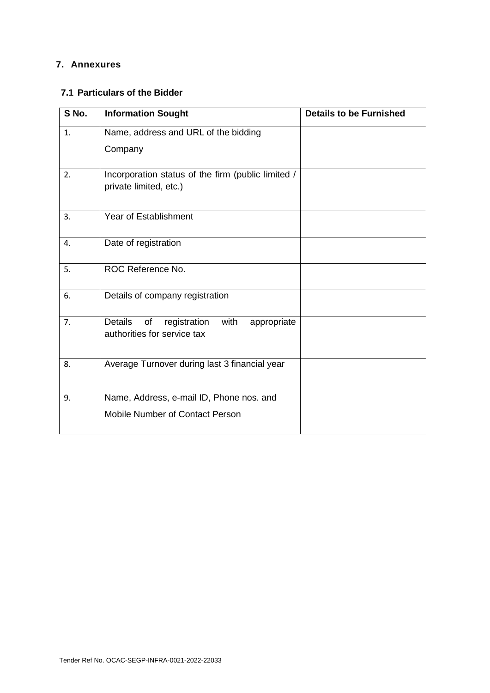## <span id="page-28-0"></span>**7. Annexures**

#### <span id="page-28-1"></span>**7.1 Particulars of the Bidder**

| S No. | <b>Information Sought</b>                                                                  | <b>Details to be Furnished</b> |
|-------|--------------------------------------------------------------------------------------------|--------------------------------|
| 1.    | Name, address and URL of the bidding                                                       |                                |
|       | Company                                                                                    |                                |
| 2.    | Incorporation status of the firm (public limited /<br>private limited, etc.)               |                                |
| 3.    | <b>Year of Establishment</b>                                                               |                                |
| 4.    | Date of registration                                                                       |                                |
| 5.    | ROC Reference No.                                                                          |                                |
| 6.    | Details of company registration                                                            |                                |
| 7.    | <b>Details</b><br>with<br>registration<br>of<br>appropriate<br>authorities for service tax |                                |
| 8.    | Average Turnover during last 3 financial year                                              |                                |
| 9.    | Name, Address, e-mail ID, Phone nos. and                                                   |                                |
|       | Mobile Number of Contact Person                                                            |                                |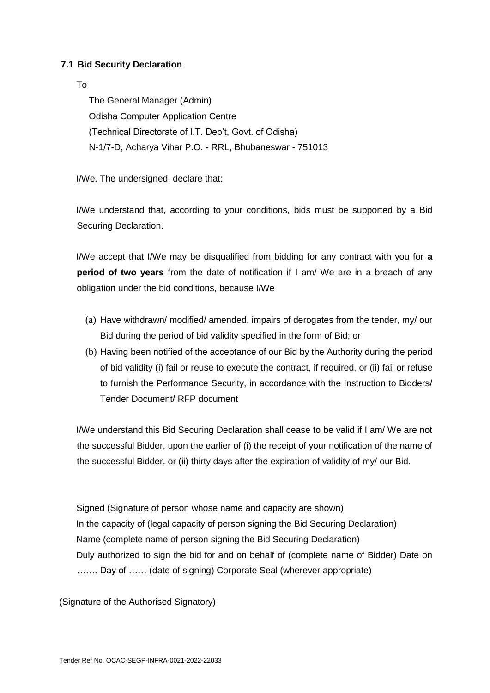#### <span id="page-29-0"></span>**7.1 Bid Security Declaration**

#### To

The General Manager (Admin) Odisha Computer Application Centre (Technical Directorate of I.T. Dep't, Govt. of Odisha) N-1/7-D, Acharya Vihar P.O. - RRL, Bhubaneswar - 751013

I/We. The undersigned, declare that:

I/We understand that, according to your conditions, bids must be supported by a Bid Securing Declaration.

I/We accept that I/We may be disqualified from bidding for any contract with you for **a period of two years** from the date of notification if I am/ We are in a breach of any obligation under the bid conditions, because I/We

- (a) Have withdrawn/ modified/ amended, impairs of derogates from the tender, my/ our Bid during the period of bid validity specified in the form of Bid; or
- (b) Having been notified of the acceptance of our Bid by the Authority during the period of bid validity (i) fail or reuse to execute the contract, if required, or (ii) fail or refuse to furnish the Performance Security, in accordance with the Instruction to Bidders/ Tender Document/ RFP document

I/We understand this Bid Securing Declaration shall cease to be valid if I am/ We are not the successful Bidder, upon the earlier of (i) the receipt of your notification of the name of the successful Bidder, or (ii) thirty days after the expiration of validity of my/ our Bid.

Signed (Signature of person whose name and capacity are shown) In the capacity of (legal capacity of person signing the Bid Securing Declaration) Name (complete name of person signing the Bid Securing Declaration) Duly authorized to sign the bid for and on behalf of (complete name of Bidder) Date on ……. Day of …… (date of signing) Corporate Seal (wherever appropriate)

(Signature of the Authorised Signatory)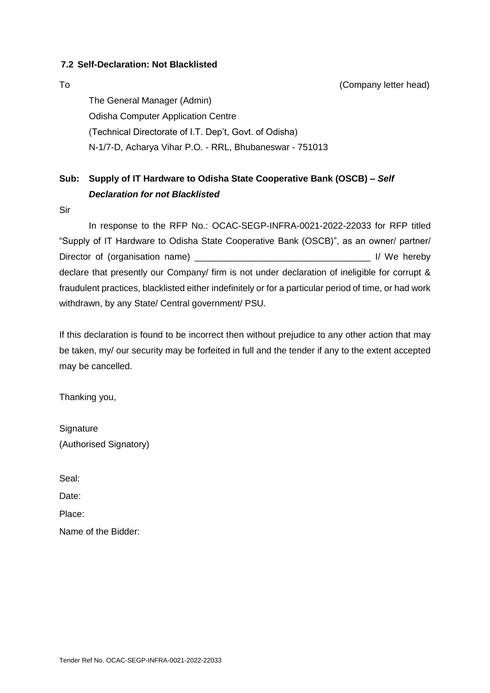#### <span id="page-30-0"></span>**7.2 Self-Declaration: Not Blacklisted**

To (Company letter head)

The General Manager (Admin) Odisha Computer Application Centre (Technical Directorate of I.T. Dep't, Govt. of Odisha) N-1/7-D, Acharya Vihar P.O. - RRL, Bhubaneswar - 751013

## **Sub: Supply of IT Hardware to Odisha State Cooperative Bank (OSCB) –** *Self Declaration for not Blacklisted*

Sir

In response to the RFP No.: OCAC-SEGP-INFRA-0021-2022-22033 for RFP titled "Supply of IT Hardware to Odisha State Cooperative Bank (OSCB)", as an owner/ partner/ Director of (organisation name) **Director of Separation 1** and  $\mathbf{v}$  and  $\mathbf{v}$  and  $\mathbf{v}$  and  $\mathbf{v}$  are by declare that presently our Company/ firm is not under declaration of ineligible for corrupt & fraudulent practices, blacklisted either indefinitely or for a particular period of time, or had work withdrawn, by any State/ Central government/ PSU.

If this declaration is found to be incorrect then without prejudice to any other action that may be taken, my/ our security may be forfeited in full and the tender if any to the extent accepted may be cancelled.

Thanking you,

**Signature** (Authorised Signatory)

Seal:

Date:

Place:

Name of the Bidder: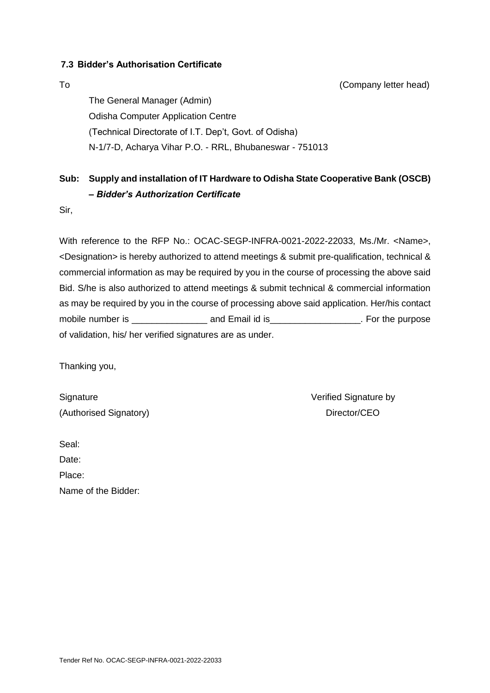#### <span id="page-31-0"></span>**7.3 Bidder's Authorisation Certificate**

To (Company letter head)

The General Manager (Admin) Odisha Computer Application Centre (Technical Directorate of I.T. Dep't, Govt. of Odisha) N-1/7-D, Acharya Vihar P.O. - RRL, Bhubaneswar - 751013

## **Sub: Supply and installation of IT Hardware to Odisha State Cooperative Bank (OSCB) –** *Bidder's Authorization Certificate*

Sir,

With reference to the RFP No.: OCAC-SEGP-INFRA-0021-2022-22033, Ms./Mr. <Name>, <Designation> is hereby authorized to attend meetings & submit pre-qualification, technical & commercial information as may be required by you in the course of processing the above said Bid. S/he is also authorized to attend meetings & submit technical & commercial information as may be required by you in the course of processing above said application. Her/his contact mobile number is \_\_\_\_\_\_\_\_\_\_\_\_\_\_\_ and Email id is\_\_\_\_\_\_\_\_\_\_\_\_\_\_\_\_\_\_. For the purpose of validation, his/ her verified signatures are as under.

Thanking you,

| Signature              |  |
|------------------------|--|
| (Authorised Signatory) |  |

Verified Signature by Director/CEO

Seal: Date:

Place:

Name of the Bidder: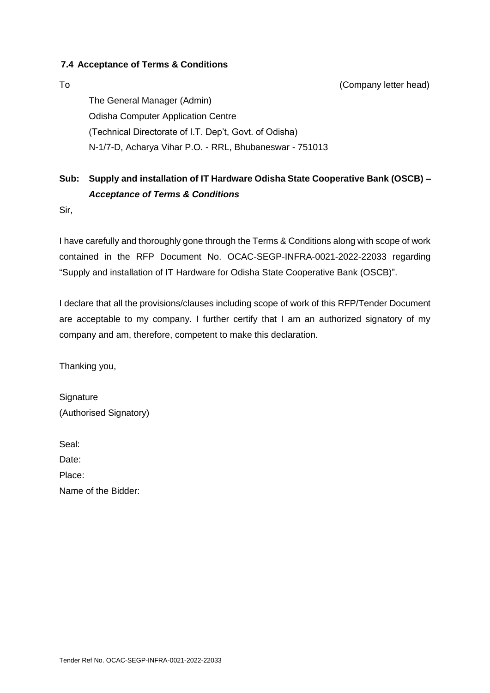#### <span id="page-32-0"></span>**7.4 Acceptance of Terms & Conditions**

To (Company letter head)

The General Manager (Admin) Odisha Computer Application Centre (Technical Directorate of I.T. Dep't, Govt. of Odisha) N-1/7-D, Acharya Vihar P.O. - RRL, Bhubaneswar - 751013

## **Sub: Supply and installation of IT Hardware Odisha State Cooperative Bank (OSCB) –** *Acceptance of Terms & Conditions*

Sir,

I have carefully and thoroughly gone through the Terms & Conditions along with scope of work contained in the RFP Document No. OCAC-SEGP-INFRA-0021-2022-22033 regarding "Supply and installation of IT Hardware for Odisha State Cooperative Bank (OSCB)".

I declare that all the provisions/clauses including scope of work of this RFP/Tender Document are acceptable to my company. I further certify that I am an authorized signatory of my company and am, therefore, competent to make this declaration.

Thanking you,

**Signature** (Authorised Signatory)

Seal:

Date:

Place:

Name of the Bidder: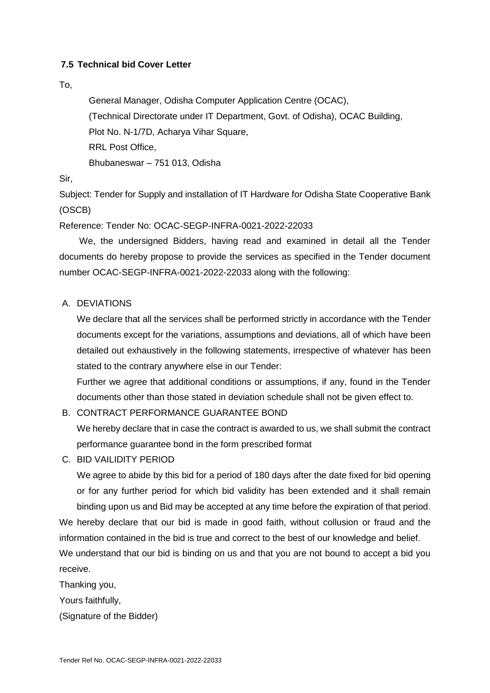#### <span id="page-33-0"></span>**7.5 Technical bid Cover Letter**

#### To,

General Manager, Odisha Computer Application Centre (OCAC), (Technical Directorate under IT Department, Govt. of Odisha), OCAC Building, Plot No. N-1/7D, Acharya Vihar Square, RRL Post Office, Bhubaneswar – 751 013, Odisha

Sir,

Subject: Tender for Supply and installation of IT Hardware for Odisha State Cooperative Bank (OSCB)

Reference: Tender No: OCAC-SEGP-INFRA-0021-2022-22033

 We, the undersigned Bidders, having read and examined in detail all the Tender documents do hereby propose to provide the services as specified in the Tender document number OCAC-SEGP-INFRA-0021-2022-22033 along with the following:

A. DEVIATIONS

We declare that all the services shall be performed strictly in accordance with the Tender documents except for the variations, assumptions and deviations, all of which have been detailed out exhaustively in the following statements, irrespective of whatever has been stated to the contrary anywhere else in our Tender:

Further we agree that additional conditions or assumptions, if any, found in the Tender documents other than those stated in deviation schedule shall not be given effect to.

B. CONTRACT PERFORMANCE GUARANTEE BOND

We hereby declare that in case the contract is awarded to us, we shall submit the contract performance guarantee bond in the form prescribed format

C. BID VAILIDITY PERIOD

We agree to abide by this bid for a period of 180 days after the date fixed for bid opening or for any further period for which bid validity has been extended and it shall remain binding upon us and Bid may be accepted at any time before the expiration of that period.

We hereby declare that our bid is made in good faith, without collusion or fraud and the information contained in the bid is true and correct to the best of our knowledge and belief.

We understand that our bid is binding on us and that you are not bound to accept a bid you receive.

Thanking you,

Yours faithfully,

(Signature of the Bidder)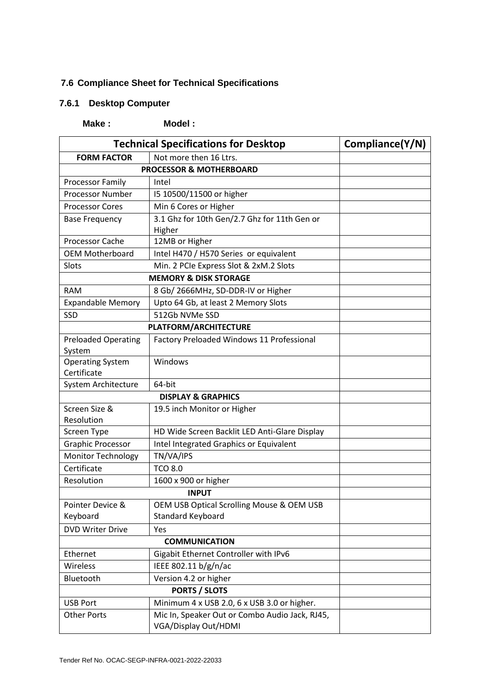## <span id="page-34-0"></span>**7.6 Compliance Sheet for Technical Specifications**

## <span id="page-34-1"></span>**7.6.1 Desktop Computer**

**Make : Model :** 

| <b>Technical Specifications for Desktop</b> |                                                                        | Compliance(Y/N) |  |  |
|---------------------------------------------|------------------------------------------------------------------------|-----------------|--|--|
| <b>FORM FACTOR</b>                          | Not more then 16 Ltrs.                                                 |                 |  |  |
| <b>PROCESSOR &amp; MOTHERBOARD</b>          |                                                                        |                 |  |  |
| Processor Family                            | Intel                                                                  |                 |  |  |
| <b>Processor Number</b>                     | 15 10500/11500 or higher                                               |                 |  |  |
| <b>Processor Cores</b>                      | Min 6 Cores or Higher                                                  |                 |  |  |
| <b>Base Frequency</b>                       | 3.1 Ghz for 10th Gen/2.7 Ghz for 11th Gen or<br>Higher                 |                 |  |  |
| <b>Processor Cache</b>                      | 12MB or Higher                                                         |                 |  |  |
| <b>OEM Motherboard</b>                      | Intel H470 / H570 Series or equivalent                                 |                 |  |  |
| Slots                                       | Min. 2 PCIe Express Slot & 2xM.2 Slots                                 |                 |  |  |
|                                             | <b>MEMORY &amp; DISK STORAGE</b>                                       |                 |  |  |
| <b>RAM</b>                                  | 8 Gb/ 2666MHz, SD-DDR-IV or Higher                                     |                 |  |  |
| <b>Expandable Memory</b>                    | Upto 64 Gb, at least 2 Memory Slots                                    |                 |  |  |
| SSD                                         | 512Gb NVMe SSD                                                         |                 |  |  |
|                                             | <b>PLATFORM/ARCHITECTURE</b>                                           |                 |  |  |
| <b>Preloaded Operating</b><br>System        | Factory Preloaded Windows 11 Professional                              |                 |  |  |
| <b>Operating System</b><br>Certificate      | Windows                                                                |                 |  |  |
| System Architecture                         | 64-bit                                                                 |                 |  |  |
|                                             | <b>DISPLAY &amp; GRAPHICS</b>                                          |                 |  |  |
| Screen Size &<br>Resolution                 | 19.5 inch Monitor or Higher                                            |                 |  |  |
| Screen Type                                 | HD Wide Screen Backlit LED Anti-Glare Display                          |                 |  |  |
| <b>Graphic Processor</b>                    | Intel Integrated Graphics or Equivalent                                |                 |  |  |
| <b>Monitor Technology</b>                   | TN/VA/IPS                                                              |                 |  |  |
| Certificate                                 | <b>TCO 8.0</b>                                                         |                 |  |  |
| Resolution                                  | 1600 x 900 or higher                                                   |                 |  |  |
|                                             | <b>INPUT</b>                                                           |                 |  |  |
| Pointer Device &<br>Keyboard                | OEM USB Optical Scrolling Mouse & OEM USB<br><b>Standard Keyboard</b>  |                 |  |  |
| <b>DVD Writer Drive</b>                     | Yes                                                                    |                 |  |  |
|                                             | <b>COMMUNICATION</b>                                                   |                 |  |  |
| Ethernet                                    | Gigabit Ethernet Controller with IPv6                                  |                 |  |  |
| Wireless                                    | IEEE 802.11 b/g/n/ac                                                   |                 |  |  |
| Bluetooth                                   | Version 4.2 or higher                                                  |                 |  |  |
|                                             | <b>PORTS / SLOTS</b>                                                   |                 |  |  |
| <b>USB Port</b>                             | Minimum 4 x USB 2.0, 6 x USB 3.0 or higher.                            |                 |  |  |
| <b>Other Ports</b>                          | Mic In, Speaker Out or Combo Audio Jack, RJ45,<br>VGA/Display Out/HDMI |                 |  |  |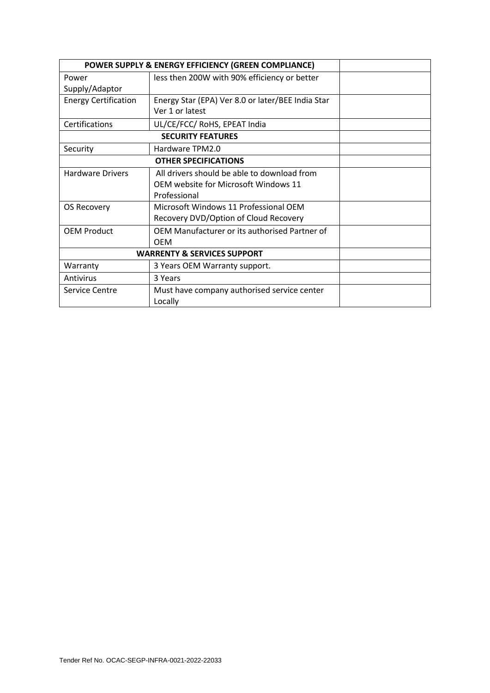| POWER SUPPLY & ENERGY EFFICIENCY (GREEN COMPLIANCE) |                                                   |  |  |
|-----------------------------------------------------|---------------------------------------------------|--|--|
| Power                                               | less then 200W with 90% efficiency or better      |  |  |
| Supply/Adaptor                                      |                                                   |  |  |
| <b>Energy Certification</b>                         | Energy Star (EPA) Ver 8.0 or later/BEE India Star |  |  |
|                                                     | Ver 1 or latest                                   |  |  |
| Certifications                                      | UL/CE/FCC/ RoHS, EPEAT India                      |  |  |
|                                                     | <b>SECURITY FEATURES</b>                          |  |  |
| Security                                            | Hardware TPM2.0                                   |  |  |
|                                                     | <b>OTHER SPECIFICATIONS</b>                       |  |  |
| <b>Hardware Drivers</b>                             | All drivers should be able to download from       |  |  |
|                                                     | <b>OEM website for Microsoft Windows 11</b>       |  |  |
|                                                     | Professional                                      |  |  |
| OS Recovery                                         | Microsoft Windows 11 Professional OEM             |  |  |
|                                                     | Recovery DVD/Option of Cloud Recovery             |  |  |
| <b>OEM Product</b>                                  | OEM Manufacturer or its authorised Partner of     |  |  |
|                                                     | <b>OEM</b>                                        |  |  |
| <b>WARRENTY &amp; SERVICES SUPPORT</b>              |                                                   |  |  |
| Warranty                                            | 3 Years OEM Warranty support.                     |  |  |
| Antivirus                                           | 3 Years                                           |  |  |
| <b>Service Centre</b>                               | Must have company authorised service center       |  |  |
|                                                     | Locally                                           |  |  |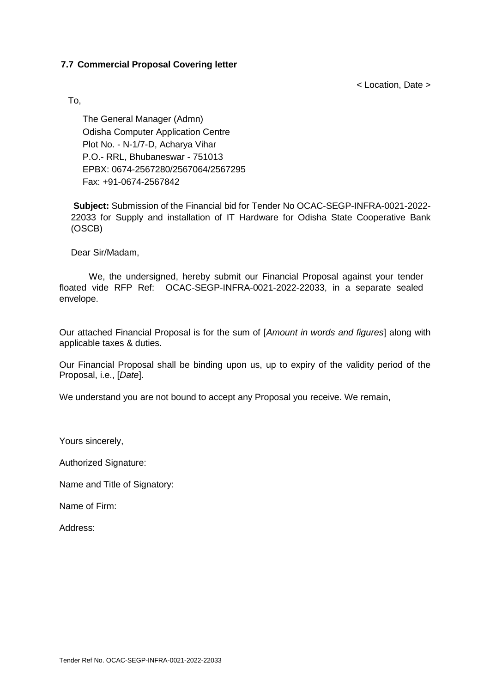#### <span id="page-36-0"></span>**7.7 Commercial Proposal Covering letter**

< Location, Date >

To,

The General Manager (Admn) Odisha Computer Application Centre Plot No. - N-1/7-D, Acharya Vihar P.O.- RRL, Bhubaneswar - 751013 EPBX: 0674-2567280/2567064/2567295 Fax: +91-0674-2567842

**Subject:** Submission of the Financial bid for Tender No OCAC-SEGP-INFRA-0021-2022- 22033 for Supply and installation of IT Hardware for Odisha State Cooperative Bank (OSCB)

Dear Sir/Madam,

We, the undersigned, hereby submit our Financial Proposal against your tender floated vide RFP Ref: OCAC-SEGP-INFRA-0021-2022-22033, in a separate sealed envelope.

Our attached Financial Proposal is for the sum of [*Amount in words and figures*] along with applicable taxes & duties.

Our Financial Proposal shall be binding upon us, up to expiry of the validity period of the Proposal, i.e., [*Date*].

We understand you are not bound to accept any Proposal you receive. We remain,

Yours sincerely,

Authorized Signature:

Name and Title of Signatory:

Name of Firm:

Address: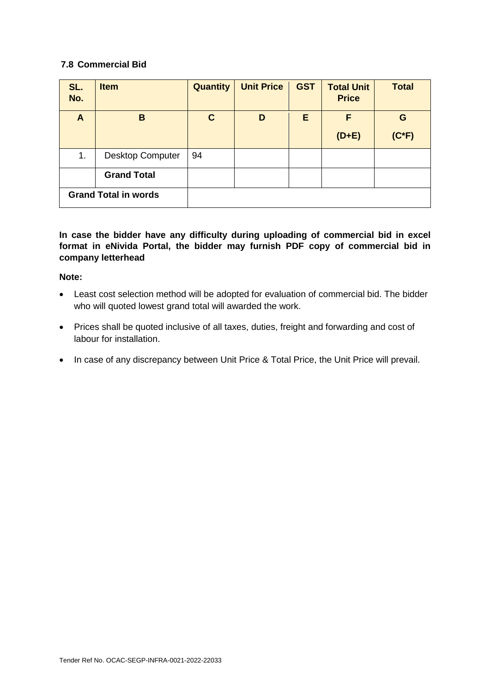#### <span id="page-37-0"></span>**7.8 Commercial Bid**

| SL.<br>No.                  | <b>Item</b>             | <b>Quantity</b> | <b>Unit Price</b> | <b>GST</b> | <b>Total Unit</b><br><b>Price</b> | <b>Total</b> |
|-----------------------------|-------------------------|-----------------|-------------------|------------|-----------------------------------|--------------|
| A                           | B                       | $\mathbf C$     | D                 | E          | F                                 | G            |
|                             |                         |                 |                   |            | $(D+E)$                           | $(C*F)$      |
| 1.                          | <b>Desktop Computer</b> | 94              |                   |            |                                   |              |
|                             | <b>Grand Total</b>      |                 |                   |            |                                   |              |
| <b>Grand Total in words</b> |                         |                 |                   |            |                                   |              |

**In case the bidder have any difficulty during uploading of commercial bid in excel format in eNivida Portal, the bidder may furnish PDF copy of commercial bid in company letterhead**

#### **Note:**

- Least cost selection method will be adopted for evaluation of commercial bid. The bidder who will quoted lowest grand total will awarded the work.
- Prices shall be quoted inclusive of all taxes, duties, freight and forwarding and cost of labour for installation.
- In case of any discrepancy between Unit Price & Total Price, the Unit Price will prevail.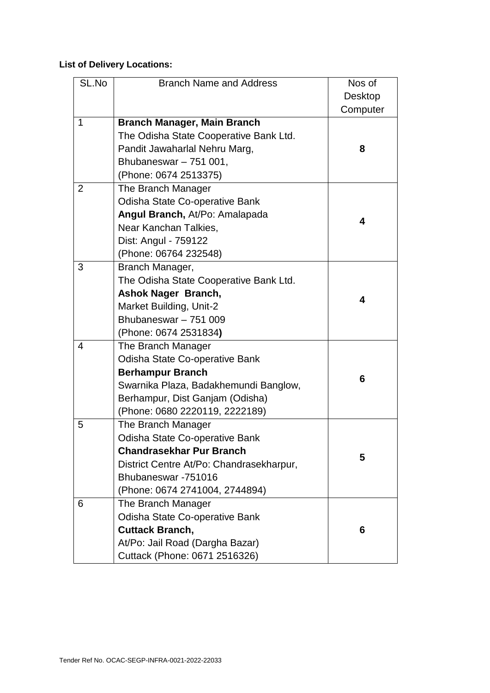## **List of Delivery Locations:**

| SL.No | <b>Branch Name and Address</b>                                                                                                                                                                | Nos of<br>Desktop<br>Computer |
|-------|-----------------------------------------------------------------------------------------------------------------------------------------------------------------------------------------------|-------------------------------|
| 1     | <b>Branch Manager, Main Branch</b><br>The Odisha State Cooperative Bank Ltd.<br>Pandit Jawaharlal Nehru Marg,<br>Bhubaneswar $-751001$ ,                                                      | 8                             |
|       | (Phone: 0674 2513375)                                                                                                                                                                         |                               |
| 2     | The Branch Manager<br>Odisha State Co-operative Bank<br>Angul Branch, At/Po: Amalapada<br>Near Kanchan Talkies,<br>Dist: Angul - 759122<br>(Phone: 06764 232548)                              | 4                             |
| 3     | Branch Manager,<br>The Odisha State Cooperative Bank Ltd.<br><b>Ashok Nager Branch,</b><br>Market Building, Unit-2<br>Bhubaneswar - 751 009<br>(Phone: 0674 2531834)                          | 4                             |
| 4     | The Branch Manager<br>Odisha State Co-operative Bank<br><b>Berhampur Branch</b><br>Swarnika Plaza, Badakhemundi Banglow,<br>Berhampur, Dist Ganjam (Odisha)<br>(Phone: 0680 2220119, 2222189) | 6                             |
| 5     | The Branch Manager<br>Odisha State Co-operative Bank<br><b>Chandrasekhar Pur Branch</b><br>District Centre At/Po: Chandrasekharpur,<br>Bhubaneswar -751016<br>(Phone: 0674 2741004, 2744894)  | 5                             |
| 6     | The Branch Manager<br>Odisha State Co-operative Bank<br><b>Cuttack Branch,</b><br>At/Po: Jail Road (Dargha Bazar)<br>Cuttack (Phone: 0671 2516326)                                            | 6                             |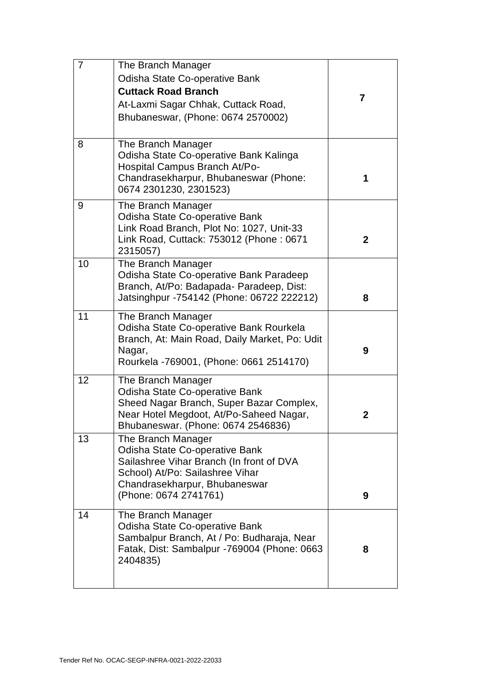| $\overline{7}$ | The Branch Manager<br>Odisha State Co-operative Bank<br><b>Cuttack Road Branch</b><br>At-Laxmi Sagar Chhak, Cuttack Road,<br>Bhubaneswar, (Phone: 0674 2570002)                               | 7 |
|----------------|-----------------------------------------------------------------------------------------------------------------------------------------------------------------------------------------------|---|
| 8              | The Branch Manager<br>Odisha State Co-operative Bank Kalinga<br>Hospital Campus Branch At/Po-<br>Chandrasekharpur, Bhubaneswar (Phone:<br>0674 2301230, 2301523)                              | 1 |
| 9              | The Branch Manager<br>Odisha State Co-operative Bank<br>Link Road Branch, Plot No: 1027, Unit-33<br>Link Road, Cuttack: 753012 (Phone: 0671<br>2315057)                                       | 2 |
| 10             | The Branch Manager<br>Odisha State Co-operative Bank Paradeep<br>Branch, At/Po: Badapada- Paradeep, Dist:<br>Jatsinghpur -754142 (Phone: 06722 222212)                                        | 8 |
| 11             | The Branch Manager<br>Odisha State Co-operative Bank Rourkela<br>Branch, At: Main Road, Daily Market, Po: Udit<br>Nagar,<br>Rourkela -769001, (Phone: 0661 2514170)                           | 9 |
| 12             | The Branch Manager<br>Odisha State Co-operative Bank<br>Sheed Nagar Branch, Super Bazar Complex,<br>Near Hotel Megdoot, At/Po-Saheed Nagar,<br>Bhubaneswar. (Phone: 0674 2546836)             | 2 |
| 13             | The Branch Manager<br>Odisha State Co-operative Bank<br>Sailashree Vihar Branch (In front of DVA<br>School) At/Po: Sailashree Vihar<br>Chandrasekharpur, Bhubaneswar<br>(Phone: 0674 2741761) | 9 |
| 14             | The Branch Manager<br>Odisha State Co-operative Bank<br>Sambalpur Branch, At / Po: Budharaja, Near<br>Fatak, Dist: Sambalpur -769004 (Phone: 0663<br>2404835)                                 | 8 |